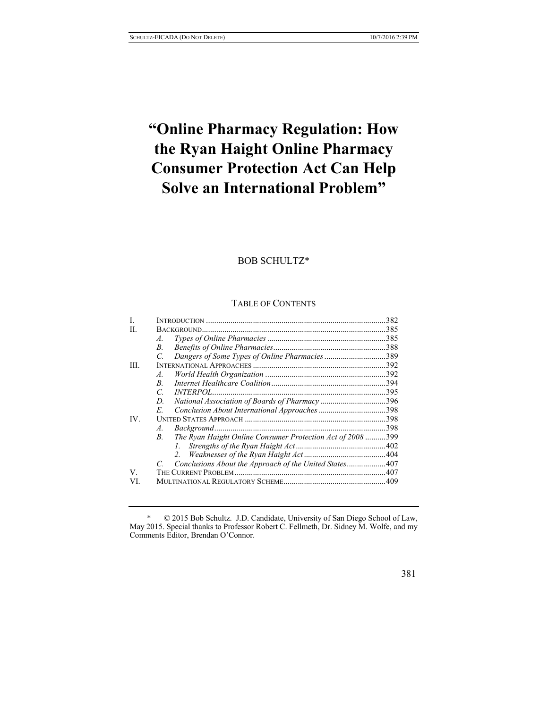# **"Online Pharmacy Regulation: How the Ryan Haight Online Pharmacy Consumer Protection Act Can Help Solve an International Problem"**

# BOB SCHULTZ\*

# TABLE OF CONTENTS

| L   |                                                                           | 382  |
|-----|---------------------------------------------------------------------------|------|
| H.  | BACKGROUND.                                                               |      |
|     | A.                                                                        |      |
|     | $B_{\cdot}$                                                               |      |
|     | Dangers of Some Types of Online Pharmacies389<br>C.                       |      |
| HI. |                                                                           |      |
|     | A.                                                                        |      |
|     | R.                                                                        |      |
|     | <i><b>INTERPOL.</b></i><br>C                                              |      |
|     | National Association of Boards of Pharmacy 396<br>D                       |      |
|     | E                                                                         |      |
| IV. |                                                                           |      |
|     | A.                                                                        | .398 |
|     | The Ryan Haight Online Consumer Protection Act of 2008 399<br>$B_{\cdot}$ |      |
|     | $l_{\perp}$                                                               |      |
|     | 2.                                                                        |      |
|     | Conclusions About the Approach of the United States407                    |      |
| V   | THE CURRENT PROBLEM.                                                      |      |
| VI. |                                                                           |      |

<sup>\*</sup> © 2015 Bob Schultz. J.D. Candidate, University of San Diego School of Law, May 2015. Special thanks to Professor Robert C. Fellmeth, Dr. Sidney M. Wolfe, and my Comments Editor, Brendan O'Connor.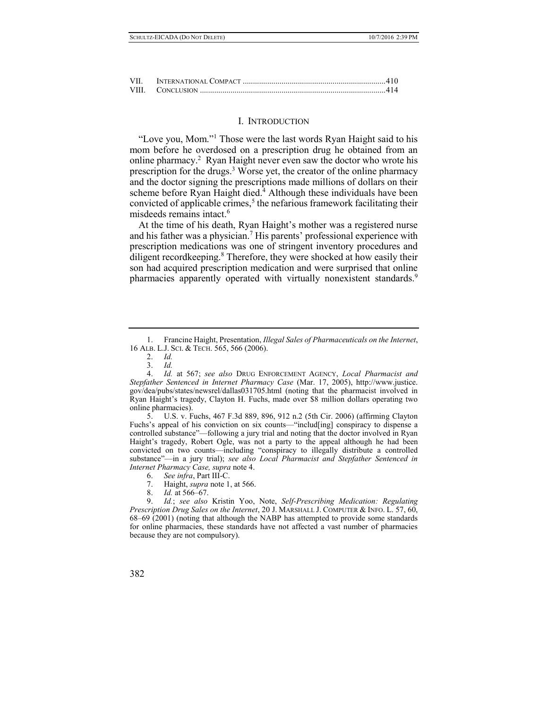| VП |  |
|----|--|
|    |  |

#### I. INTRODUCTION

"Love you, Mom."<sup>1</sup> Those were the last words Ryan Haight said to his mom before he overdosed on a prescription drug he obtained from an online pharmacy.<sup>2</sup> Ryan Haight never even saw the doctor who wrote his prescription for the drugs.<sup>3</sup> Worse yet, the creator of the online pharmacy and the doctor signing the prescriptions made millions of dollars on their scheme before Ryan Haight died.<sup>4</sup> Although these individuals have been convicted of applicable crimes,<sup>5</sup> the nefarious framework facilitating their misdeeds remains intact.<sup>6</sup>

At the time of his death, Ryan Haight's mother was a registered nurse and his father was a physician.<sup>7</sup> His parents' professional experience with prescription medications was one of stringent inventory procedures and diligent recordkeeping.<sup>8</sup> Therefore, they were shocked at how easily their son had acquired prescription medication and were surprised that online pharmacies apparently operated with virtually nonexistent standards.<sup>9</sup>

5. U.S. v. Fuchs, 467 F.3d 889, 896, 912 n.2 (5th Cir. 2006) (affirming Clayton Fuchs's appeal of his conviction on six counts—"includ[ing] conspiracy to dispense a controlled substance"—following a jury trial and noting that the doctor involved in Ryan Haight's tragedy, Robert Ogle, was not a party to the appeal although he had been convicted on two counts—including "conspiracy to illegally distribute a controlled substance"—in a jury trial); *see also Local Pharmacist and Stepfather Sentenced in Internet Pharmacy Case, supra* note 4.

- 6. *See infra*, Part III-C.
- 7. Haight, *supra* note 1, at 566.
- 8. *Id.* at 566–67.

9. *Id.*; *see also* Kristin Yoo, Note, *Self-Prescribing Medication: Regulating Prescription Drug Sales on the Internet*, 20 J. MARSHALL J. COMPUTER & INFO. L. 57, 60, 68–69 (2001) (noting that although the NABP has attempted to provide some standards for online pharmacies, these standards have not affected a vast number of pharmacies because they are not compulsory).

<sup>1.</sup> Francine Haight, Presentation, *Illegal Sales of Pharmaceuticals on the Internet*, 16 ALB. L.J. SCI. & TECH. 565, 566 (2006).

<sup>2.</sup> *Id.*

<sup>3.</sup> *Id.*

<sup>4.</sup> *Id.* at 567; *see also* DRUG ENFORCEMENT AGENCY, *Local Pharmacist and Stepfather Sentenced in Internet Pharmacy Case* (Mar. 17, 2005), [http://www.](http://www/)justice. gov/dea/pubs/states/newsrel/dallas031705.html (noting that the pharmacist involved in Ryan Haight's tragedy, Clayton H. Fuchs, made over \$8 million dollars operating two online pharmacies).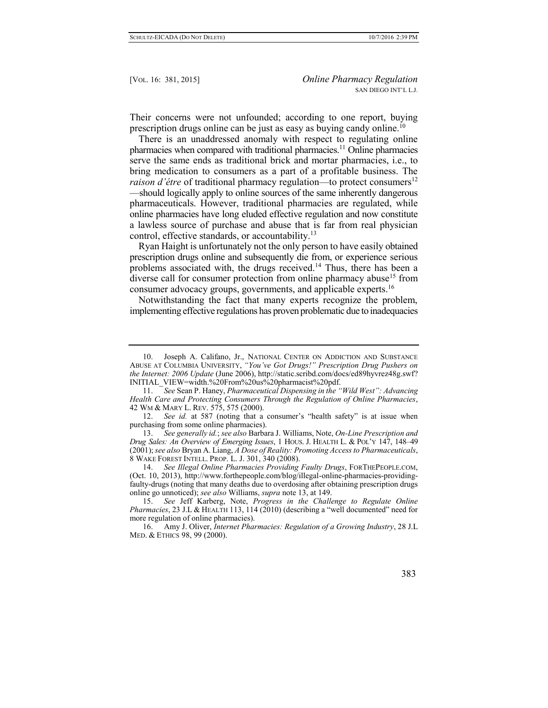Their concerns were not unfounded; according to one report, buying prescription drugs online can be just as easy as buying candy online.<sup>10</sup>

There is an unaddressed anomaly with respect to regulating online pharmacies when compared with traditional pharmacies.<sup>11</sup> Online pharmacies serve the same ends as traditional brick and mortar pharmacies, i.e., to bring medication to consumers as a part of a profitable business. The *raison d'étre* of traditional pharmacy regulation—to protect consumers<sup>12</sup> —should logically apply to online sources of the same inherently dangerous pharmaceuticals. However, traditional pharmacies are regulated, while online pharmacies have long eluded effective regulation and now constitute a lawless source of purchase and abuse that is far from real physician control, effective standards, or accountability.<sup>13</sup>

Ryan Haight is unfortunately not the only person to have easily obtained prescription drugs online and subsequently die from, or experience serious problems associated with, the drugs received.<sup>14</sup> Thus, there has been a diverse call for consumer protection from online pharmacy abuse<sup>15</sup> from consumer advocacy groups, governments, and applicable experts.<sup>16</sup>

Notwithstanding the fact that many experts recognize the problem, implementing effective regulations has proven problematic due to inadequacies

<sup>10.</sup> Joseph A. Califano, Jr., NATIONAL CENTER ON ADDICTION AND SUBSTANCE ABUSE AT COLUMBIA UNIVERSITY, *"You've Got Drugs!" Prescription Drug Pushers on the Internet: 2006 Update* (June 2006), http://static.scribd.com/docs/ed89hyvrez48g.swf? INITIAL\_VIEW=width.%20From%20us%20pharmacist%20pdf.

<sup>11.</sup> *See* Sean P. Haney, *Pharmaceutical Dispensing in the "Wild West": Advancing Health Care and Protecting Consumers Through the Regulation of Online Pharmacies*, 42 WM & MARY L. REV. 575, 575 (2000).

<sup>12.</sup> *See id.* at 587 (noting that a consumer's "health safety" is at issue when purchasing from some online pharmacies).

<sup>13.</sup> *See generally id.*; *see also* Barbara J. Williams, Note, *On-Line Prescription and Drug Sales: An Overview of Emerging Issues*, 1 HOUS. J. HEALTH L. & POL'Y 147, 148–49 (2001); *see also* Bryan A. Liang, *A Dose of Reality: Promoting Access to Pharmaceuticals*, 8 WAKE FOREST INTELL. PROP. L. J. 301, 340 (2008).

<sup>14.</sup> *See Illegal Online Pharmacies Providing Faulty Drugs*, FORTHEPEOPLE.COM, (Oct. 10, 2013), http://www.forthepeople.com/blog/illegal-online-pharmacies-providingfaulty-drugs (noting that many deaths due to overdosing after obtaining prescription drugs online go unnoticed); *see also* Williams, *supra* note 13, at 149.

<sup>15.</sup> *See* Jeff Karberg, Note, *Progress in the Challenge to Regulate Online Pharmacies*, 23 J.L & HEALTH 113, 114 (2010) (describing a "well documented" need for more regulation of online pharmacies).

<sup>16.</sup> Amy J. Oliver, *Internet Pharmacies: Regulation of a Growing Industry*, 28 J.L MED. & ETHICS 98, 99 (2000).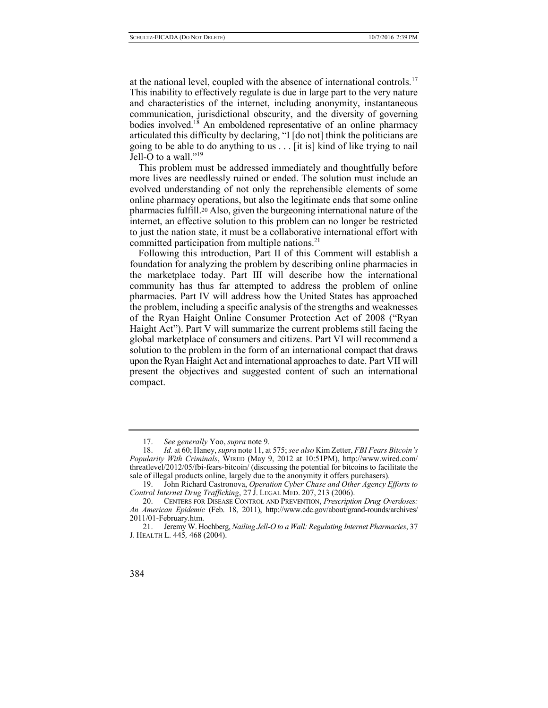at the national level, coupled with the absence of international controls.<sup>17</sup> This inability to effectively regulate is due in large part to the very nature and characteristics of the internet, including anonymity, instantaneous communication, jurisdictional obscurity, and the diversity of governing bodies involved.<sup>18</sup> An emboldened representative of an online pharmacy articulated this difficulty by declaring, "I [do not] think the politicians are going to be able to do anything to us . . . [it is] kind of like trying to nail Jell-O to a wall."<sup>19</sup>

This problem must be addressed immediately and thoughtfully before more lives are needlessly ruined or ended. The solution must include an evolved understanding of not only the reprehensible elements of some online pharmacy operations, but also the legitimate ends that some online pharmacies fulfill.<sup>20</sup> Also, given the burgeoning international nature of the internet, an effective solution to this problem can no longer be restricted to just the nation state, it must be a collaborative international effort with committed participation from multiple nations.<sup>21</sup>

Following this introduction, Part II of this Comment will establish a foundation for analyzing the problem by describing online pharmacies in the marketplace today. Part III will describe how the international community has thus far attempted to address the problem of online pharmacies. Part IV will address how the United States has approached the problem, including a specific analysis of the strengths and weaknesses of the Ryan Haight Online Consumer Protection Act of 2008 ("Ryan Haight Act"). Part V will summarize the current problems still facing the global marketplace of consumers and citizens. Part VI will recommend a solution to the problem in the form of an international compact that draws upon the Ryan Haight Act and international approachesto date. Part VII will present the objectives and suggested content of such an international compact.

<sup>17.</sup> *See generally* Yoo, *supra* note 9.

<sup>18.</sup> *Id.* at 60; Haney, *supra* note 11, at 575; *see also* Kim Zetter, *FBI Fears Bitcoin's Popularity With Criminals*, WIRED (May 9, 2012 at 10:51PM), http://www.wired.com/ threatlevel/2012/05/fbi-fears-bitcoin/ (discussing the potential for bitcoins to facilitate the sale of illegal products online, largely due to the anonymity it offers purchasers).

<sup>19.</sup> John Richard Castronova, *Operation Cyber Chase and Other Agency Efforts to Control Internet Drug Trafficking*, 27 J. LEGAL MED. 207, 213 (2006).

<sup>20.</sup> CENTERS FOR DISEASE CONTROL AND PREVENTION, *Prescription Drug Overdoses: An American Epidemic* (Feb. 18, 2011), http://www.cdc.gov/about/grand-rounds/archives/ 2011/01-February.htm.

<sup>21.</sup> Jeremy W. Hochberg, *Nailing Jell-O to a Wall: Regulating Internet Pharmacies*, 37 J. HEALTH L. 445*,* 468 (2004).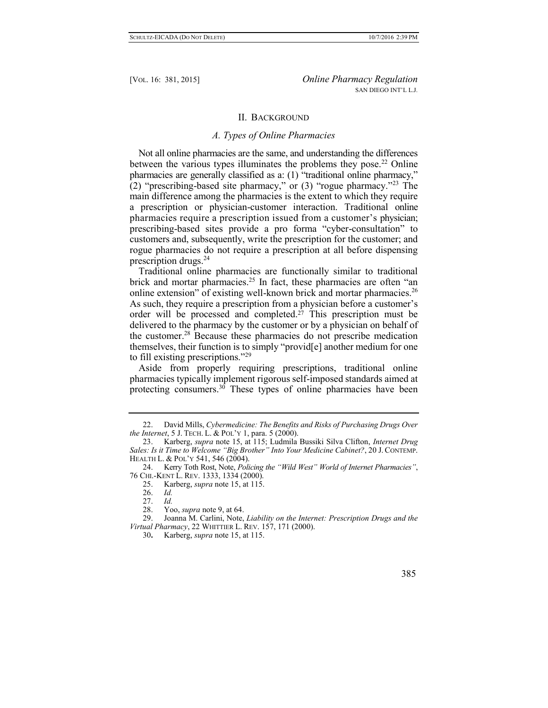## II. BACKGROUND

## *A. Types of Online Pharmacies*

Not all online pharmacies are the same, and understanding the differences between the various types illuminates the problems they pose.<sup>22</sup> Online pharmacies are generally classified as a: (1) "traditional online pharmacy," (2) "prescribing-based site pharmacy," or (3) "rogue pharmacy."<sup>23</sup> The main difference among the pharmacies is the extent to which they require a prescription or physician-customer interaction. Traditional online pharmacies require a prescription issued from a customer's physician; prescribing-based sites provide a pro forma "cyber-consultation" to customers and, subsequently, write the prescription for the customer; and rogue pharmacies do not require a prescription at all before dispensing prescription drugs.<sup>24</sup>

Traditional online pharmacies are functionally similar to traditional brick and mortar pharmacies.<sup>25</sup> In fact, these pharmacies are often "an online extension" of existing well-known brick and mortar pharmacies.<sup>26</sup> As such, they require a prescription from a physician before a customer's order will be processed and completed.<sup>27</sup> This prescription must be delivered to the pharmacy by the customer or by a physician on behalf of the customer.<sup>28</sup> Because these pharmacies do not prescribe medication themselves, their function is to simply "provid[e] another medium for one to fill existing prescriptions."<sup>29</sup>

Aside from properly requiring prescriptions, traditional online pharmacies typically implement rigorous self-imposed standards aimed at protecting consumers.<sup>30</sup> These types of online pharmacies have been

<sup>22.</sup> David Mills, *Cybermedicine: The Benefits and Risks of Purchasing Drugs Over the Internet*, 5 J. TECH. L. & POL'Y 1, para. 5 (2000).

<sup>23.</sup> Karberg, *supra* note 15, at 115; Ludmila Bussiki Silva Clifton, *Internet Drug Sales: Is it Time to Welcome "Big Brother" Into Your Medicine Cabinet?*, 20 J. CONTEMP. HEALTH L. & POL'Y 541, 546 (2004).

<sup>24.</sup> Kerry Toth Rost, Note, *Policing the "Wild West" World of Internet Pharmacies"*, 76 CHI.-KENT L. REV. 1333, 1334 (2000).

<sup>25.</sup> Karberg, *supra* note 15, at 115.

<sup>26.</sup> *Id.*

<sup>27.</sup> *Id.*

<sup>28.</sup> Yoo, *supra* note 9, at 64.

<sup>29.</sup> Joanna M. Carlini, Note, *Liability on the Internet: Prescription Drugs and the Virtual Pharmacy*, 22 WHITTIER L. REV. 157, 171 (2000).

<sup>30</sup>**.** Karberg, *supra* note 15, at 115.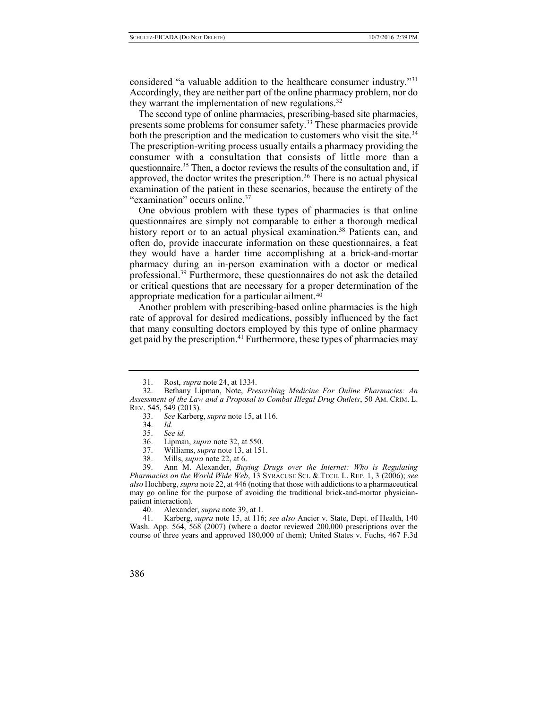considered "a valuable addition to the healthcare consumer industry."<sup>31</sup> Accordingly, they are neither part of the online pharmacy problem, nor do they warrant the implementation of new regulations.<sup>32</sup>

The second type of online pharmacies, prescribing-based site pharmacies, presents some problems for consumer safety.<sup>33</sup> These pharmacies provide both the prescription and the medication to customers who visit the site.<sup>34</sup> The prescription-writing process usually entails a pharmacy providing the consumer with a consultation that consists of little more than a questionnaire.<sup>35</sup> Then, a doctor reviews the results of the consultation and, if approved, the doctor writes the prescription.<sup>36</sup> There is no actual physical examination of the patient in these scenarios, because the entirety of the "examination" occurs online.<sup>37</sup>

One obvious problem with these types of pharmacies is that online questionnaires are simply not comparable to either a thorough medical history report or to an actual physical examination.<sup>38</sup> Patients can, and often do, provide inaccurate information on these questionnaires, a feat they would have a harder time accomplishing at a brick-and-mortar pharmacy during an in-person examination with a doctor or medical professional.<sup>39</sup> Furthermore, these questionnaires do not ask the detailed or critical questions that are necessary for a proper determination of the appropriate medication for a particular ailment.<sup>40</sup>

Another problem with prescribing-based online pharmacies is the high rate of approval for desired medications, possibly influenced by the fact that many consulting doctors employed by this type of online pharmacy get paid by the prescription.<sup>41</sup> Furthermore, these types of pharmacies may

<sup>31.</sup> Rost, *supra* note 24, at 1334.

<sup>32.</sup> Bethany Lipman, Note, *Prescribing Medicine For Online Pharmacies: An Assessment of the Law and a Proposal to Combat Illegal Drug Outlets*, 50 AM. CRIM. L. REV. 545, 549 (2013).

<sup>33.</sup> *See* Karberg, *supra* note 15, at 116.

<sup>34.</sup> *Id.*

<sup>35.</sup> *See id.*

<sup>36.</sup> Lipman, *supra* note 32, at 550.

<sup>37.</sup> Williams, *supra* note 13, at 151.

<sup>38.</sup> Mills, *supra* note 22, at 6.

<sup>39.</sup> Ann M. Alexander, *Buying Drugs over the Internet: Who is Regulating Pharmacies on the World Wide Web*, 13 SYRACUSE SCI. & TECH. L. REP. 1, 3 (2006); *see also* Hochberg, *supra* note 22, at 446 (noting that those with addictions to a pharmaceutical may go online for the purpose of avoiding the traditional brick-and-mortar physicianpatient interaction).

<sup>40.</sup> Alexander, *supra* note 39, at 1.

<sup>41.</sup> Karberg, *supra* note 15, at 116; *see also* Ancier v. State, Dept. of Health, 140 Wash. App. 564, 568 (2007) (where a doctor reviewed 200,000 prescriptions over the course of three years and approved 180,000 of them); United States v. Fuchs, 467 F.3d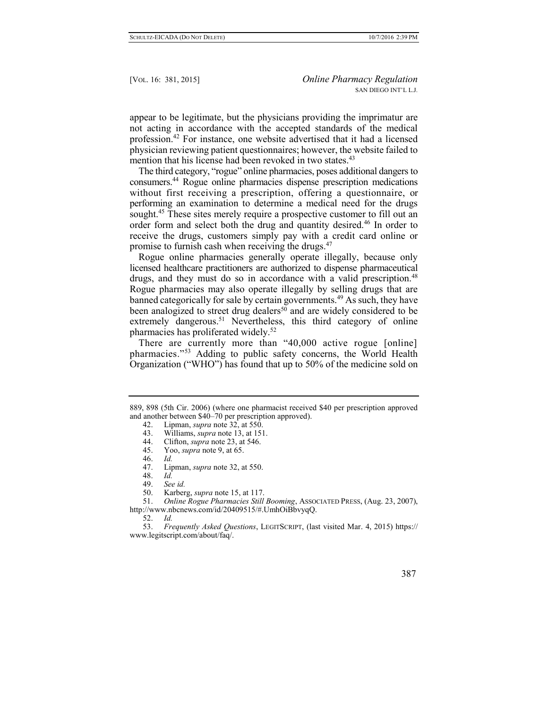appear to be legitimate, but the physicians providing the imprimatur are not acting in accordance with the accepted standards of the medical profession.<sup>42</sup> For instance, one website advertised that it had a licensed physician reviewing patient questionnaires; however, the website failed to mention that his license had been revoked in two states.<sup>43</sup>

The third category, "rogue" online pharmacies, poses additional dangers to consumers.<sup>44</sup> Rogue online pharmacies dispense prescription medications without first receiving a prescription, offering a questionnaire, or performing an examination to determine a medical need for the drugs sought.<sup>45</sup> These sites merely require a prospective customer to fill out an order form and select both the drug and quantity desired.<sup>46</sup> In order to receive the drugs, customers simply pay with a credit card online or promise to furnish cash when receiving the drugs.<sup>47</sup>

Rogue online pharmacies generally operate illegally, because only licensed healthcare practitioners are authorized to dispense pharmaceutical drugs, and they must do so in accordance with a valid prescription.<sup>48</sup> Rogue pharmacies may also operate illegally by selling drugs that are banned categorically for sale by certain governments.<sup>49</sup> As such, they have been analogized to street drug dealers<sup>50</sup> and are widely considered to be extremely dangerous.<sup>51</sup> Nevertheless, this third category of online pharmacies has proliferated widely.<sup>52</sup>

There are currently more than "40,000 active rogue [online] pharmacies."<sup>53</sup> Adding to public safety concerns, the World Health Organization ("WHO") has found that up to 50% of the medicine sold on

51. *Online Rogue Pharmacies Still Booming*, ASSOCIATED PRESS, (Aug. 23, 2007), http://www.nbcnews.com/id/20409515/#.UmhOiBbvyqQ.

52. *Id.*

53. *Frequently Asked Questions*, LEGITSCRIPT, (last visited Mar. 4, 2015) https:// www.legitscript.com/about/faq/.

<sup>889, 898 (5</sup>th Cir. 2006) (where one pharmacist received \$40 per prescription approved and another between \$40–70 per prescription approved).

<sup>42.</sup> Lipman, *supra* note 32, at 550.

<sup>43.</sup> Williams, *supra* note 13, at 151.

<sup>44.</sup> Clifton, *supra* note 23, at 546.

<sup>45.</sup> Yoo, *supra* note 9, at 65.

<sup>46.</sup> *Id.*

Lipman, *supra* note 32, at 550.

<sup>48.</sup> *Id.*

<sup>49.</sup> *See id.*

<sup>50.</sup> Karberg, *supra* note 15, at 117.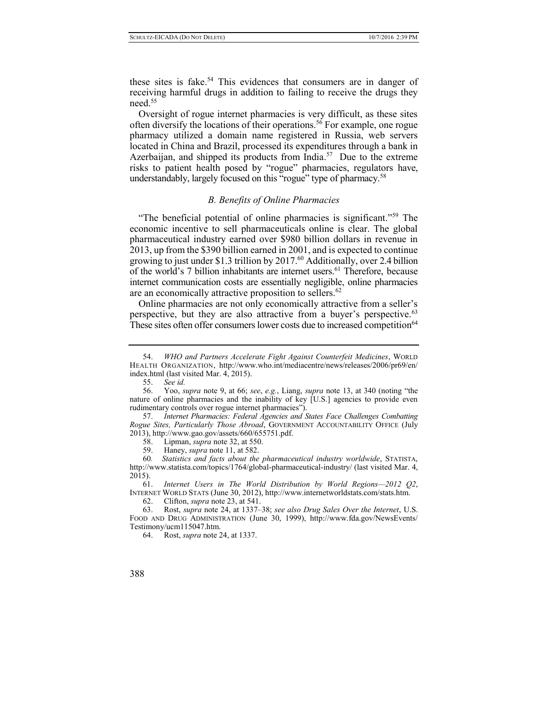these sites is fake.<sup>54</sup> This evidences that consumers are in danger of receiving harmful drugs in addition to failing to receive the drugs they need.<sup>55</sup>

Oversight of rogue internet pharmacies is very difficult, as these sites often diversify the locations of their operations.<sup>56</sup> For example, one rogue pharmacy utilized a domain name registered in Russia, web servers located in China and Brazil, processed its expenditures through a bank in Azerbaijan, and shipped its products from India.<sup>57</sup> Due to the extreme risks to patient health posed by "rogue" pharmacies, regulators have, understandably, largely focused on this "rogue" type of pharmacy.<sup>58</sup>

## *B. Benefits of Online Pharmacies*

"The beneficial potential of online pharmacies is significant."<sup>59</sup> The economic incentive to sell pharmaceuticals online is clear. The global pharmaceutical industry earned over \$980 billion dollars in revenue in 2013, up from the \$390 billion earned in 2001, and is expected to continue growing to just under \$1.3 trillion by 2017.<sup>60</sup> Additionally, over 2.4 billion of the world's 7 billion inhabitants are internet users.<sup>61</sup> Therefore, because internet communication costs are essentially negligible, online pharmacies are an economically attractive proposition to sellers.<sup>62</sup>

Online pharmacies are not only economically attractive from a seller's perspective, but they are also attractive from a buyer's perspective.<sup>63</sup> These sites often offer consumers lower costs due to increased competition<sup>64</sup>

<sup>54.</sup> *WHO and Partners Accelerate Fight Against Counterfeit Medicines*, WORLD HEALTH ORGANIZATION, http://www.who.int/mediacentre/news/releases/2006/pr69/en/ index.html (last visited Mar. 4, 2015).

<sup>55.</sup> *See id.*

<sup>56.</sup> Yoo, *supra* note 9, at 66; *see*, *e.g.*, Liang, *supra* note 13, at 340 (noting "the nature of online pharmacies and the inability of key [U.S.] agencies to provide even rudimentary controls over rogue internet pharmacies").

<sup>57.</sup> *Internet Pharmacies: Federal Agencies and States Face Challenges Combatting Rogue Sites, Particularly Those Abroad*, GOVERNMENT ACCOUNTABILITY OFFICE (July 2013), http://www.gao.gov/assets/660/655751.pdf.

<sup>58.</sup> Lipman, *supra* note 32, at 550.

<sup>59.</sup> Haney, *supra* note 11, at 582.

<sup>60</sup>*. Statistics and facts about the pharmaceutical industry worldwide*, STATISTA, <http://www.statista.com/topics/1764/global-pharmaceutical-industry/> (last visited Mar. 4, 2015).

<sup>61.</sup> *Internet Users in The World Distribution by World Regions—2012 Q2*, INTERNET WORLD STATS (June 30, 2012), http://www.internetworldstats.com/stats.htm.

<sup>62.</sup> Clifton, *supra* note 23, at 541.

<sup>63.</sup> Rost, *supra* note 24, at 1337–38; *see also Drug Sales Over the Internet*, U.S. FOOD AND DRUG ADMINISTRATION (June 30, 1999), http://www.fda.gov/NewsEvents/ Testimony/ucm115047.htm.

<sup>64.</sup> Rost, *supra* note 24, at 1337.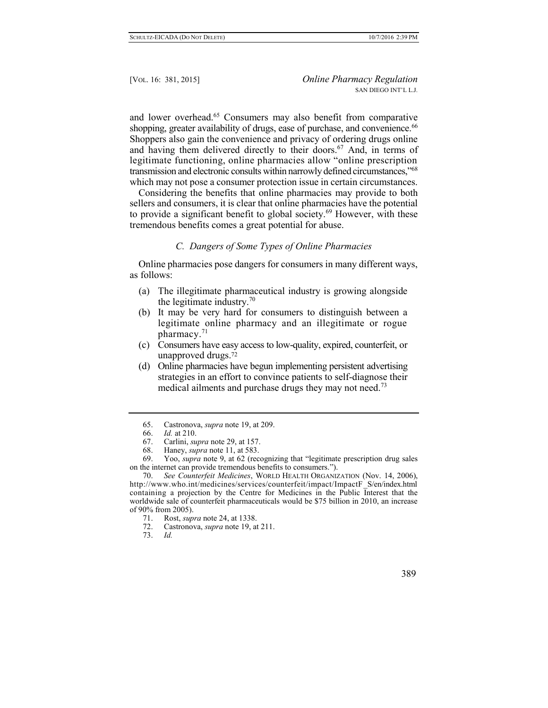and lower overhead.<sup>65</sup> Consumers may also benefit from comparative shopping, greater availability of drugs, ease of purchase, and convenience.<sup>66</sup> Shoppers also gain the convenience and privacy of ordering drugs online and having them delivered directly to their doors.<sup>67</sup> And, in terms of legitimate functioning, online pharmacies allow "online prescription transmission and electronic consults within narrowly defined circumstances,"<sup>68</sup> which may not pose a consumer protection issue in certain circumstances.

Considering the benefits that online pharmacies may provide to both sellers and consumers, it is clear that online pharmacies have the potential to provide a significant benefit to global society.<sup>69</sup> However, with these tremendous benefits comes a great potential for abuse.

# *C. Dangers of Some Types of Online Pharmacies*

Online pharmacies pose dangers for consumers in many different ways, as follows:

- (a) The illegitimate pharmaceutical industry is growing alongside the legitimate industry.<sup>70</sup>
- (b) It may be very hard for consumers to distinguish between a legitimate online pharmacy and an illegitimate or rogue pharmacy.<sup>71</sup>
- (c) Consumers have easy access to low-quality, expired, counterfeit, or unapproved drugs.<sup>72</sup>
- (d) Online pharmacies have begun implementing persistent advertising strategies in an effort to convince patients to self-diagnose their medical ailments and purchase drugs they may not need.<sup>73</sup>

- 72. Castronova, *supra* note 19, at 211.
- 73. *Id.*

<sup>65.</sup> Castronova, *supra* note 19, at 209.

<sup>66.</sup> *Id.* at 210.

<sup>67.</sup> Carlini, *supra* note 29, at 157.

<sup>68.</sup> Haney, *supra* note 11, at 583.

<sup>69.</sup> Yoo, *supra* note 9, at 62 (recognizing that "legitimate prescription drug sales on the internet can provide tremendous benefits to consumers.").

<sup>70.</sup> *See Counterfeit Medicines*, WORLD HEALTH ORGANIZATION (Nov. 14, 2006), http://www.who.int/medicines/services/counterfeit/impact/ImpactF\_S/en/index.html containing a projection by the Centre for Medicines in the Public Interest that the worldwide sale of counterfeit pharmaceuticals would be \$75 billion in 2010, an increase of 90% from 2005).

<sup>71.</sup> Rost, *supra* note 24, at 1338.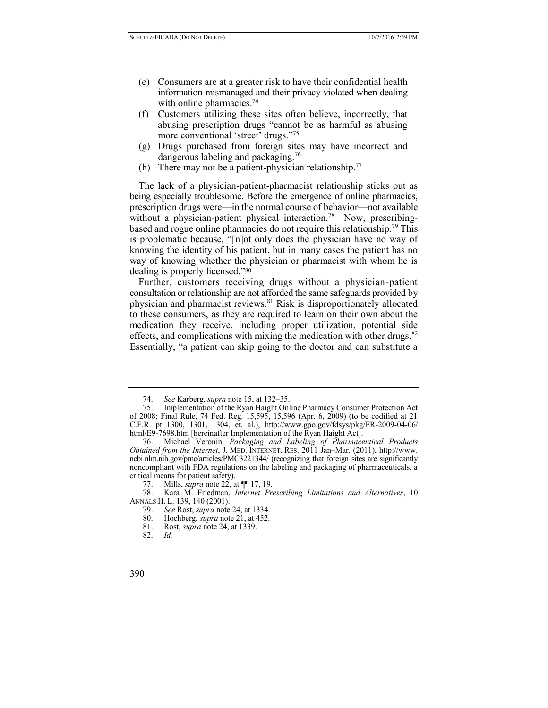- (e) Consumers are at a greater risk to have their confidential health information mismanaged and their privacy violated when dealing with online pharmacies. $74$
- (f) Customers utilizing these sites often believe, incorrectly, that abusing prescription drugs "cannot be as harmful as abusing more conventional 'street' drugs."<sup>75</sup>
- (g) Drugs purchased from foreign sites may have incorrect and dangerous labeling and packaging.<sup>76</sup>
- (h) There may not be a patient-physician relationship.<sup>77</sup>

The lack of a physician-patient-pharmacist relationship sticks out as being especially troublesome. Before the emergence of online pharmacies, prescription drugs were—in the normal course of behavior—not available without a physician-patient physical interaction.<sup>78</sup> Now, prescribingbased and rogue online pharmacies do not require this relationship.<sup>79</sup> This is problematic because, "[n]ot only does the physician have no way of knowing the identity of his patient, but in many cases the patient has no way of knowing whether the physician or pharmacist with whom he is dealing is properly licensed."<sup>80</sup>

Further, customers receiving drugs without a physician-patient consultation or relationship are not afforded the same safeguards provided by physician and pharmacist reviews.<sup>81</sup> Risk is disproportionately allocated to these consumers, as they are required to learn on their own about the medication they receive, including proper utilization, potential side effects, and complications with mixing the medication with other drugs.<sup>82</sup> Essentially, "a patient can skip going to the doctor and can substitute a

<sup>74.</sup> *See* Karberg, *supra* note 15, at 132–35.

<sup>75.</sup> Implementation of the Ryan Haight Online Pharmacy Consumer Protection Act of 2008; Final Rule, 74 Fed. Reg. 15,595, 15,596 (Apr. 6, 2009) (to be codified at 21 C.F.R. pt 1300, 1301, 1304, et. al.), http://www.gpo.gov/fdsys/pkg/FR-2009-04-06/ html/E9-7698.htm [hereinafter Implementation of the Ryan Haight Act].

<sup>76.</sup> Michael Veronin, *Packaging and Labeling of Pharmaceutical Products Obtained from the Internet*, J. MED. INTERNET. RES. 2011 Jan–Mar. (2011), http://www. ncbi.nlm.nih.gov/pmc/articles/PMC3221344/ (recognizing that foreign sites are significantly noncompliant with FDA regulations on the labeling and packaging of pharmaceuticals, a critical means for patient safety).

<sup>77.</sup> Mills, *supra* note 22, at  $\P$ [17, 19.<br>78. Kara M. Friedman. *Internet Pring* 

<sup>78.</sup> Kara M. Friedman, *Internet Prescribing Limitations and Alternatives*, 10 ANNALS H. L. 139, 140 (2001).

<sup>79.</sup> *See* Rost, *supra* note 24, at 1334.

<sup>80.</sup> Hochberg, *supra* note 21, at 452.

<sup>81.</sup> Rost, *supra* note 24, at 1339.

<sup>82.</sup> *Id.*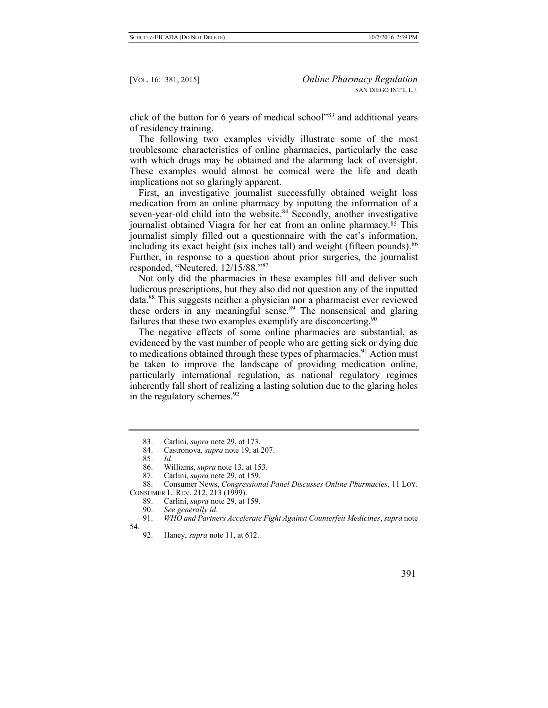click of the button for 6 years of medical school"<sup>83</sup> and additional years of residency training.

The following two examples vividly illustrate some of the most troublesome characteristics of online pharmacies, particularly the ease with which drugs may be obtained and the alarming lack of oversight. These examples would almost be comical were the life and death implications not so glaringly apparent.

First, an investigative journalist successfully obtained weight loss medication from an online pharmacy by inputting the information of a seven-year-old child into the website.<sup>84</sup> Secondly, another investigative journalist obtained Viagra for her cat from an online pharmacy.<sup>85</sup> This journalist simply filled out a questionnaire with the cat's information, including its exact height (six inches tall) and weight (fifteen pounds).<sup>86</sup> Further, in response to a question about prior surgeries, the journalist responded, "Neutered, 12/15/88."<sup>87</sup>

Not only did the pharmacies in these examples fill and deliver such ludicrous prescriptions, but they also did not question any of the inputted data.<sup>88</sup> This suggests neither a physician nor a pharmacist ever reviewed these orders in any meaningful sense.<sup>89</sup> The nonsensical and glaring failures that these two examples exemplify are disconcerting.<sup>90</sup>

The negative effects of some online pharmacies are substantial, as evidenced by the vast number of people who are getting sick or dying due to medications obtained through these types of pharmacies.<sup>91</sup> Action must be taken to improve the landscape of providing medication online, particularly international regulation, as national regulatory regimes inherently fall short of realizing a lasting solution due to the glaring holes in the regulatory schemes.<sup>92</sup>

88. Consumer News, *Congressional Panel Discusses Online Pharmacies*, 11 LOY. CONSUMER L. REV. 212, 213 (1999).

- 89. Carlini, *supra* note 29, at 159.
- 90. *See generally id*.

91. *WHO and Partners Accelerate Fight Against Counterfeit Medicines*, *supra* note 54.

<sup>83.</sup> Carlini, *supra* note 29, at 173.

<sup>84.</sup> Castronova, *supra* note 19, at 207.

<sup>85.</sup> *Id.*

<sup>86.</sup> Williams, *supra* note 13, at 153.

<sup>87.</sup> Carlini, *supra* note 29, at 159.

<sup>92.</sup> Haney, *supra* note 11, at 612.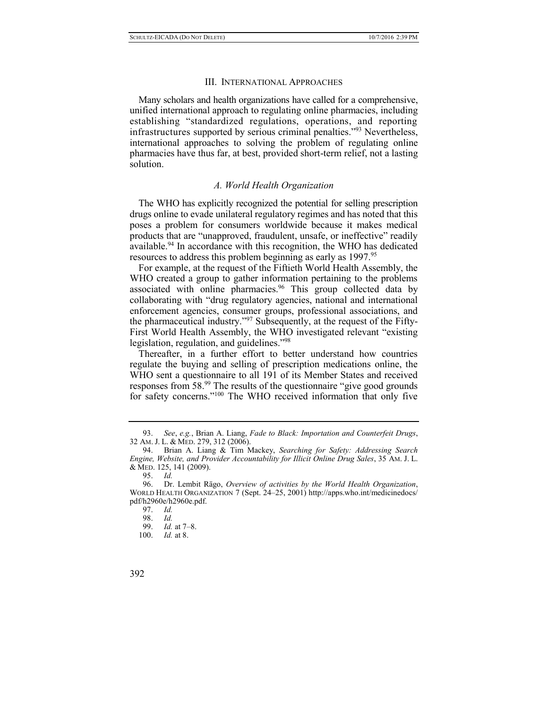#### III. INTERNATIONAL APPROACHES

Many scholars and health organizations have called for a comprehensive, unified international approach to regulating online pharmacies, including establishing "standardized regulations, operations, and reporting infrastructures supported by serious criminal penalties."<sup>93</sup> Nevertheless, international approaches to solving the problem of regulating online pharmacies have thus far, at best, provided short-term relief, not a lasting solution.

## *A. World Health Organization*

The WHO has explicitly recognized the potential for selling prescription drugs online to evade unilateral regulatory regimes and has noted that this poses a problem for consumers worldwide because it makes medical products that are "unapproved, fraudulent, unsafe, or ineffective" readily available.<sup>94</sup> In accordance with this recognition, the WHO has dedicated resources to address this problem beginning as early as 1997.<sup>95</sup>

For example, at the request of the Fiftieth World Health Assembly, the WHO created a group to gather information pertaining to the problems associated with online pharmacies.<sup>96</sup> This group collected data by collaborating with "drug regulatory agencies, national and international enforcement agencies, consumer groups, professional associations, and the pharmaceutical industry."<sup>97</sup> Subsequently, at the request of the Fifty-First World Health Assembly, the WHO investigated relevant "existing legislation, regulation, and guidelines."<sup>98</sup>

Thereafter, in a further effort to better understand how countries regulate the buying and selling of prescription medications online, the WHO sent a questionnaire to all 191 of its Member States and received responses from 58.<sup>99</sup> The results of the questionnaire "give good grounds for safety concerns."<sup>100</sup> The WHO received information that only five

<sup>93.</sup> *See*, *e.g.*, Brian A. Liang, *Fade to Black: Importation and Counterfeit Drugs*, 32 AM. J. L. & MED. 279, 312 (2006).

<sup>94.</sup> Brian A. Liang & Tim Mackey, *Searching for Safety: Addressing Search Engine, Website, and Provider Accountability for Illicit Online Drug Sales*, 35 AM. J. L. & MED. 125, 141 (2009).

<sup>95.</sup> *Id.*

<sup>96.</sup> Dr. Lembit Rägo, *Overview of activities by the World Health Organization*, WORLD HEALTH ORGANIZATION 7 (Sept. 24–25, 2001) http://apps.who.int/medicinedocs/ pdf/h2960e/h2960e.pdf.

<sup>97.</sup> *Id.*

<sup>98.</sup> *Id.*

<sup>99.</sup> *Id.* at 7–8.

<sup>100.</sup> *Id.* at 8.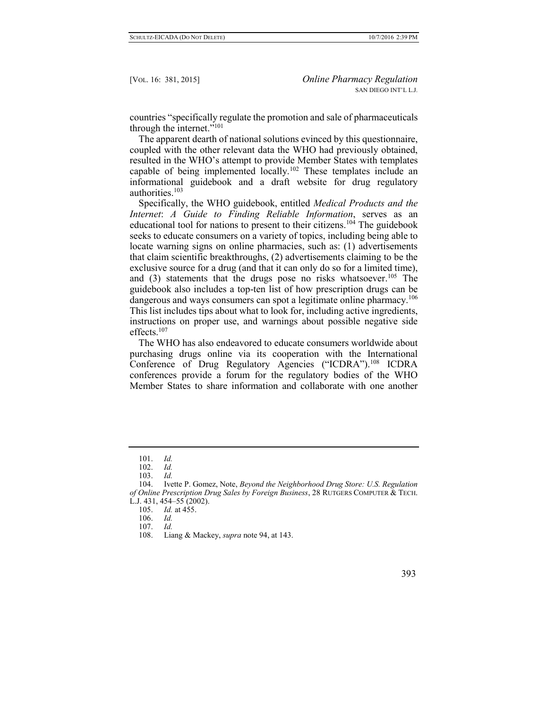countries "specifically regulate the promotion and sale of pharmaceuticals through the internet."<sup>101</sup>

The apparent dearth of national solutions evinced by this questionnaire, coupled with the other relevant data the WHO had previously obtained, resulted in the WHO's attempt to provide Member States with templates capable of being implemented locally.<sup>102</sup> These templates include an informational guidebook and a draft website for drug regulatory authorities.<sup>103</sup>

Specifically, the WHO guidebook, entitled *Medical Products and the Internet*: *A Guide to Finding Reliable Information*, serves as an educational tool for nations to present to their citizens.<sup>104</sup> The guidebook seeks to educate consumers on a variety of topics, including being able to locate warning signs on online pharmacies, such as: (1) advertisements that claim scientific breakthroughs, (2) advertisements claiming to be the exclusive source for a drug (and that it can only do so for a limited time), and (3) statements that the drugs pose no risks whatsoever.<sup>105</sup> The guidebook also includes a top-ten list of how prescription drugs can be dangerous and ways consumers can spot a legitimate online pharmacy.<sup>106</sup> This list includes tips about what to look for, including active ingredients, instructions on proper use, and warnings about possible negative side effects.<sup>107</sup>

The WHO has also endeavored to educate consumers worldwide about purchasing drugs online via its cooperation with the International Conference of Drug Regulatory Agencies ("ICDRA").<sup>108</sup> ICDRA conferences provide a forum for the regulatory bodies of the WHO Member States to share information and collaborate with one another

<sup>101.</sup> *Id.*

<sup>102.</sup> *Id.*

<sup>103.</sup> *Id.*

<sup>104.</sup> Ivette P. Gomez, Note, *Beyond the Neighborhood Drug Store: U.S. Regulation of Online Prescription Drug Sales by Foreign Business*, 28 RUTGERS COMPUTER & TECH. L.J. 431, 454–55 (2002).

<sup>105.</sup> *Id.* at 455.

<sup>106.</sup> *Id.*

<sup>107.</sup> *Id.*

<sup>108.</sup> Liang & Mackey, *supra* note 94, at 143.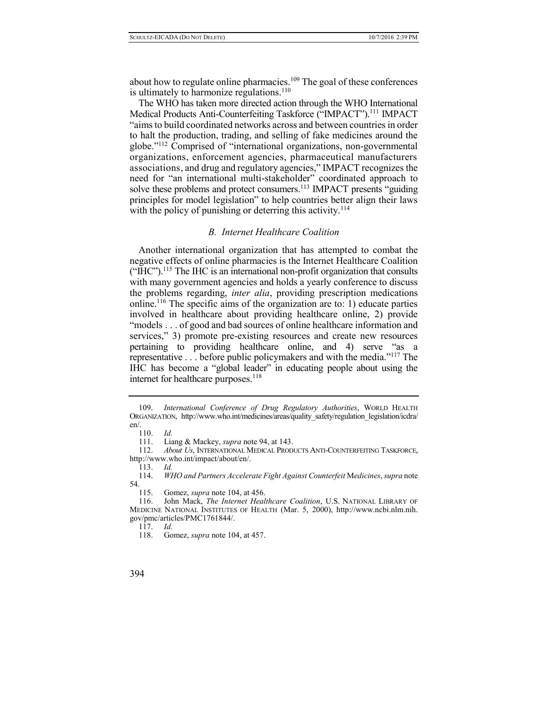about how to regulate online pharmacies.<sup>109</sup> The goal of these conferences is ultimately to harmonize regulations.<sup>110</sup>

The WHO has taken more directed action through the WHO International Medical Products Anti-Counterfeiting Taskforce ("IMPACT").<sup>111</sup> IMPACT "aims to build coordinated networks across and between countries in order to halt the production, trading, and selling of fake medicines around the globe."<sup>112</sup> Comprised of "international organizations, non-governmental organizations, enforcement agencies, pharmaceutical manufacturers associations, and drug and regulatory agencies," IMPACT recognizes the need for "an international multi-stakeholder" coordinated approach to solve these problems and protect consumers.<sup>113</sup> IMPACT presents "guiding" principles for model legislation" to help countries better align their laws with the policy of punishing or deterring this activity.<sup>114</sup>

## *B. Internet Healthcare Coalition*

Another international organization that has attempted to combat the negative effects of online pharmacies is the Internet Healthcare Coalition  $($ " $HC$ " $)$ <sup>115</sup>. The IHC is an international non-profit organization that consults with many government agencies and holds a yearly conference to discuss the problems regarding, *inter alia*, providing prescription medications online.<sup>116</sup> The specific aims of the organization are to: 1) educate parties involved in healthcare about providing healthcare online, 2) provide "models . . . of good and bad sources of online healthcare information and services," 3) promote pre-existing resources and create new resources pertaining to providing healthcare online, and 4) serve "as a representative . . . before public policymakers and with the media."<sup>117</sup> The IHC has become a "global leader" in educating people about using the internet for healthcare purposes.<sup>118</sup>

117. *Id.*

<sup>109.</sup> *International Conference of Drug Regulatory Authorities*, WORLD HEALTH ORGANIZATION, http://www.who.int/medicines/areas/quality\_safety/regulation\_legislation/icdra/ en/.

<sup>110.</sup> *Id.*

<sup>111.</sup> Liang & Mackey, *supra* note 94, at 143.

<sup>112.</sup> *About Us*, INTERNATIONAL MEDICAL PRODUCTS ANTI-COUNTERFEITING TASKFORCE, http://www.who.int/impact/about/en/.

<sup>113.</sup> *Id.*

<sup>114.</sup> *WHO and Partners Accelerate Fight Against Counterfeit* M*edicines*, *supra* note  $54.$  115.

Gomez, *supra* note 104, at 456.

<sup>116.</sup> John Mack, *The Internet Healthcare Coalition*, U.S. NATIONAL LIBRARY OF MEDICINE NATIONAL INSTITUTES OF HEALTH (Mar. 5, 2000), http://www.ncbi.nlm.nih. gov/pmc/articles/PMC1761844/.

<sup>118.</sup> Gomez, *supra* note 104, at 457.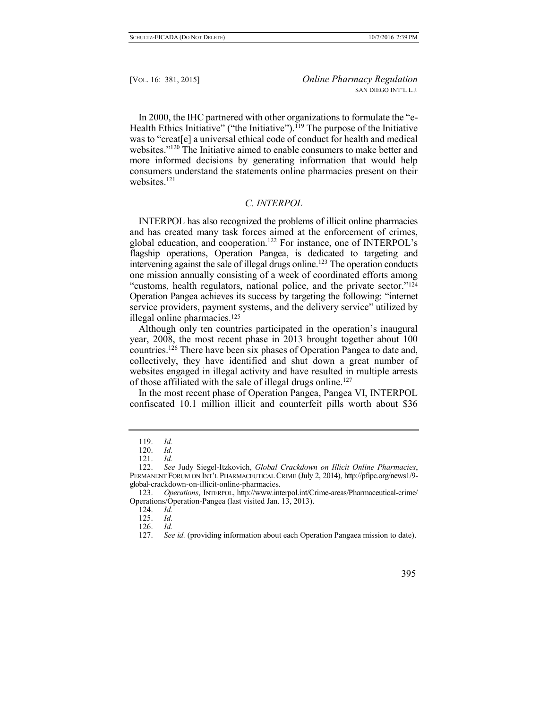In 2000, the IHC partnered with other organizations to formulate the "e-Health Ethics Initiative" ("the Initiative").<sup> $119$ </sup> The purpose of the Initiative was to "creat[e] a universal ethical code of conduct for health and medical websites."<sup>120</sup> The Initiative aimed to enable consumers to make better and more informed decisions by generating information that would help consumers understand the statements online pharmacies present on their websites. 121

# *C. INTERPOL*

INTERPOL has also recognized the problems of illicit online pharmacies and has created many task forces aimed at the enforcement of crimes, global education, and cooperation.<sup>122</sup> For instance, one of INTERPOL's flagship operations, Operation Pangea, is dedicated to targeting and intervening against the sale of illegal drugs online.<sup>123</sup> The operation conducts one mission annually consisting of a week of coordinated efforts among "customs, health regulators, national police, and the private sector."<sup>124</sup> Operation Pangea achieves its success by targeting the following: "internet service providers, payment systems, and the delivery service" utilized by illegal online pharmacies.<sup>125</sup>

Although only ten countries participated in the operation's inaugural year, 2008, the most recent phase in 2013 brought together about 100 countries.<sup>126</sup> There have been six phases of Operation Pangea to date and, collectively, they have identified and shut down a great number of websites engaged in illegal activity and have resulted in multiple arrests of those affiliated with the sale of illegal drugs online.<sup>127</sup>

In the most recent phase of Operation Pangea, Pangea VI, INTERPOL confiscated 10.1 million illicit and counterfeit pills worth about \$36

<sup>119.</sup> *Id.*

<sup>120.</sup> *Id.*

<sup>121.</sup> *Id.*

<sup>122.</sup> *See* Judy Siegel-Itzkovich, *Global Crackdown on Illicit Online Pharmacies*, PERMANENT FORUM ON INT'L PHARMACEUTICAL CRIME (July 2, 2014), http://pfipc.org/news1/9 global-crackdown-on-illicit-online-pharmacies.

<sup>123.</sup> *Operations*, INTERPOL, http://www.interpol.int/Crime-areas/Pharmaceutical-crime/ Operations/Operation-Pangea (last visited Jan. 13, 2013).

<sup>124.</sup> *Id.*

<sup>125.</sup> *Id.*

<sup>126.</sup> *Id.*

<sup>127.</sup> *See id.* (providing information about each Operation Pangaea mission to date).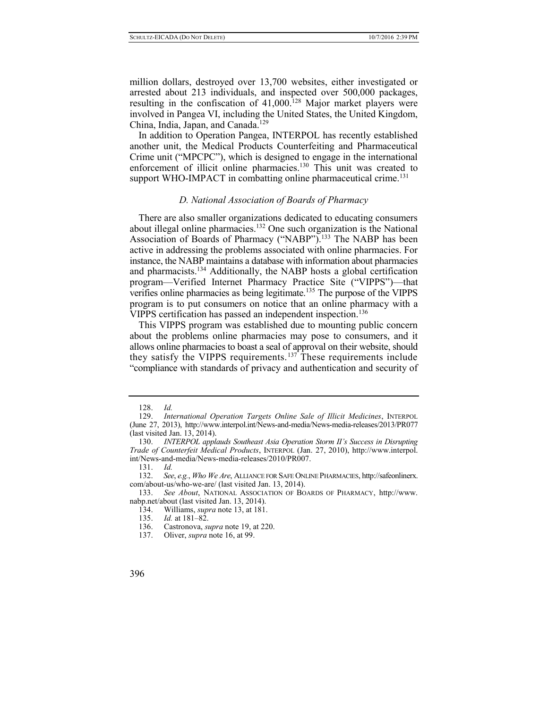million dollars, destroyed over 13,700 websites, either investigated or arrested about 213 individuals, and inspected over 500,000 packages, resulting in the confiscation of  $41,000$ <sup>128</sup> Major market players were involved in Pangea VI, including the United States, the United Kingdom, China, India, Japan, and Canada.<sup>129</sup>

In addition to Operation Pangea, INTERPOL has recently established another unit, the Medical Products Counterfeiting and Pharmaceutical Crime unit ("MPCPC"), which is designed to engage in the international enforcement of illicit online pharmacies.<sup>130</sup> This unit was created to support WHO-IMPACT in combatting online pharmaceutical crime.<sup>131</sup>

# *D. National Association of Boards of Pharmacy*

There are also smaller organizations dedicated to educating consumers about illegal online pharmacies.<sup>132</sup> One such organization is the National Association of Boards of Pharmacy ("NABP").<sup>133</sup> The NABP has been active in addressing the problems associated with online pharmacies. For instance, the NABP maintains a database with information about pharmacies and pharmacists.<sup>134</sup> Additionally, the NABP hosts a global certification program—Verified Internet Pharmacy Practice Site ("VIPPS")—that verifies online pharmacies as being legitimate.<sup>135</sup> The purpose of the VIPPS program is to put consumers on notice that an online pharmacy with a VIPPS certification has passed an independent inspection.<sup>136</sup>

This VIPPS program was established due to mounting public concern about the problems online pharmacies may pose to consumers, and it allows online pharmacies to boast a seal of approval on their website, should they satisfy the VIPPS requirements.<sup>137</sup> These requirements include "compliance with standards of privacy and authentication and security of

<sup>128.</sup> *Id.*

<sup>129.</sup> *International Operation Targets Online Sale of Illicit Medicines*, INTERPOL (June 27, 2013), http://www.interpol.int/News-and-media/News-media-releases/2013/PR077 (last visited Jan. 13, 2014).

<sup>130.</sup> *INTERPOL applauds Southeast Asia Operation Storm II's Success in Disrupting Trade of Counterfeit Medical Products*, INTERPOL (Jan. 27, 2010), http://www.interpol. int/News-and-media/News-media-releases/2010/PR007.

<sup>131.</sup> *Id.*

<sup>132.</sup> *See*, *e.g.*, *Who We Are*, ALLIANCE FOR SAFE ONLINE PHARMACIES, http://safeonlinerx. com/about-us/who-we-are/ (last visited Jan. 13, 2014).

<sup>133.</sup> *See About*, NATIONAL ASSOCIATION OF BOARDS OF PHARMACY, http://www. nabp.net/about (last visited Jan. 13, 2014).

<sup>134.</sup> Williams, *supra* note 13, at 181.

<sup>135.</sup> *Id.* at 181–82.

<sup>136.</sup> Castronova, *supra* note 19, at 220.

<sup>137.</sup> Oliver, *supra* note 16, at 99.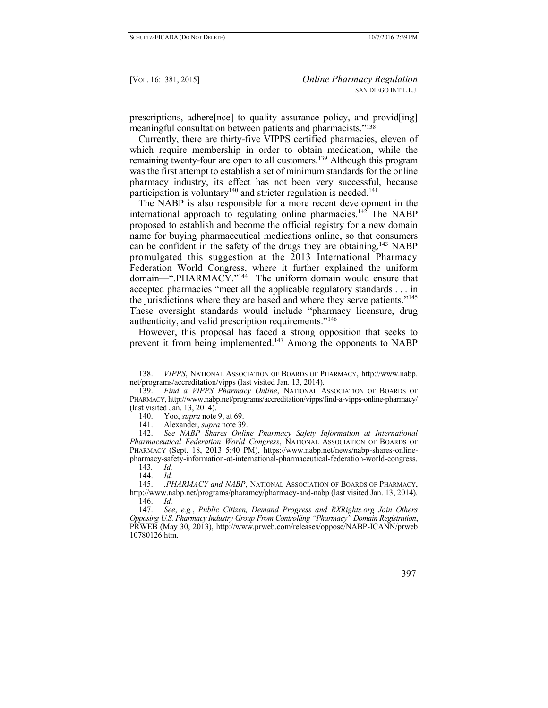prescriptions, adhere[nce] to quality assurance policy, and provid[ing] meaningful consultation between patients and pharmacists."<sup>138</sup>

Currently, there are thirty-five VIPPS certified pharmacies, eleven of which require membership in order to obtain medication, while the remaining twenty-four are open to all customers.<sup>139</sup> Although this program was the first attempt to establish a set of minimum standards for the online pharmacy industry, its effect has not been very successful, because participation is voluntary<sup>140</sup> and stricter regulation is needed.<sup>141</sup>

The NABP is also responsible for a more recent development in the international approach to regulating online pharmacies.<sup>142</sup> The NABP proposed to establish and become the official registry for a new domain name for buying pharmaceutical medications online, so that consumers can be confident in the safety of the drugs they are obtaining.<sup>143</sup> NABP promulgated this suggestion at the 2013 International Pharmacy Federation World Congress, where it further explained the uniform domain—".PHARMACY."<sup>144</sup> The uniform domain would ensure that accepted pharmacies "meet all the applicable regulatory standards . . . in the jurisdictions where they are based and where they serve patients."<sup>145</sup> These oversight standards would include "pharmacy licensure, drug authenticity, and valid prescription requirements."<sup>146</sup>

However, this proposal has faced a strong opposition that seeks to prevent it from being implemented.<sup>147</sup> Among the opponents to NABP

<sup>138.</sup> *VIPPS*, NATIONAL ASSOCIATION OF BOARDS OF PHARMACY, http://www.nabp. net/programs/accreditation/vipps (last visited Jan. 13, 2014).

<sup>139.</sup> *Find a VIPPS Pharmacy Online*, NATIONAL ASSOCIATION OF BOARDS OF PHARMACY, http://www.nabp.net/programs/accreditation/vipps/find-a-vipps-online-pharmacy/ (last visited Jan. 13, 2014).

<sup>140.</sup> Yoo, *supra* note 9, at 69.

<sup>141.</sup> Alexander, *supra* note 39.

<sup>142.</sup> *See NABP Shares Online Pharmacy Safety Information at International Pharmaceutical Federation World Congress*, NATIONAL ASSOCIATION OF BOARDS OF PHARMACY (Sept. 18, 2013 5:40 PM), https://www.nabp.net/news/nabp-shares-onlinepharmacy-safety-information-at-international-pharmaceutical-federation-world-congress.

<sup>143</sup>*. Id.*

<sup>144.</sup> *Id.*

<sup>145.</sup> *.PHARMACY and NABP*, NATIONAL ASSOCIATION OF BOARDS OF PHARMACY, http://www.nabp.net/programs/pharamcy/pharmacy-and-nabp (last visited Jan. 13, 2014).

<sup>146.</sup> *Id.*

<sup>147.</sup> *See*, *e.g.*, *Public Citizen, Demand Progress and RXRights.org Join Others Opposing U.S. Pharmacy Industry Group From Controlling "Pharmacy" Domain Registration*, PRWEB (May 30, 2013), http://www.prweb.com/releases/oppose/NABP-ICANN/prweb 10780126.htm.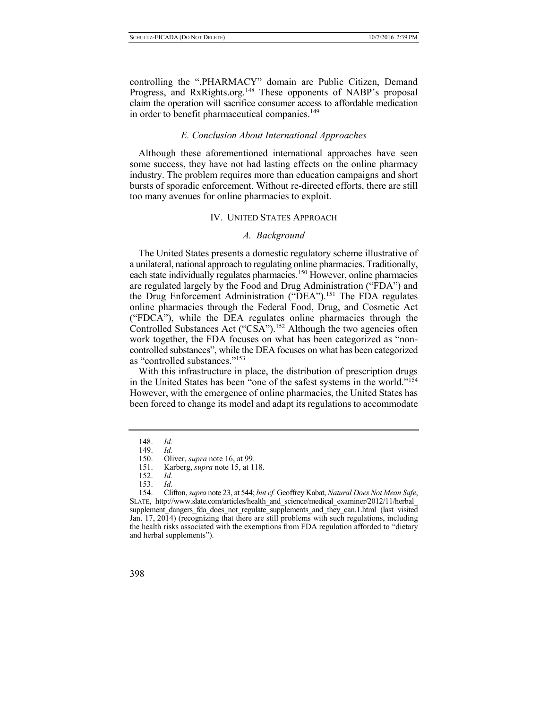controlling the ".PHARMACY" domain are Public Citizen, Demand Progress, and RxRights.org.<sup>148</sup> These opponents of NABP's proposal claim the operation will sacrifice consumer access to affordable medication in order to benefit pharmaceutical companies.<sup>149</sup>

## *E. Conclusion About International Approaches*

Although these aforementioned international approaches have seen some success, they have not had lasting effects on the online pharmacy industry. The problem requires more than education campaigns and short bursts of sporadic enforcement. Without re-directed efforts, there are still too many avenues for online pharmacies to exploit.

## IV. UNITED STATES APPROACH

## *A. Background*

The United States presents a domestic regulatory scheme illustrative of a unilateral, national approach to regulating online pharmacies. Traditionally, each state individually regulates pharmacies.<sup>150</sup> However, online pharmacies are regulated largely by the Food and Drug Administration ("FDA") and the Drug Enforcement Administration ("DEA").<sup>151</sup> The FDA regulates online pharmacies through the Federal Food, Drug, and Cosmetic Act ("FDCA"), while the DEA regulates online pharmacies through the Controlled Substances Act ("CSA").<sup>152</sup> Although the two agencies often work together, the FDA focuses on what has been categorized as "noncontrolled substances", while the DEA focuses on what has been categorized as "controlled substances."<sup>153</sup>

With this infrastructure in place, the distribution of prescription drugs in the United States has been "one of the safest systems in the world."<sup>154</sup> However, with the emergence of online pharmacies, the United States has been forced to change its model and adapt its regulations to accommodate

<sup>148.</sup> *Id.*

<sup>149.</sup> *Id.*

<sup>150.</sup> Oliver, *supra* note 16, at 99.<br>151. Karberg, *supra* note 15, at 1

Karberg, *supra* note 15, at 118.

<sup>152.</sup> *[Id.](https://a.next.westlaw.com/Link/Document/FullText?findType=L&pubNum=1000546&cite=21USCAS801&originatingDoc=I170e8b0f038411e09b8c850332338889&refType=LQ&originationContext=document&transitionType=DocumentItem&contextData=(sc.DocLink))*

<sup>153.</sup> *Id.*

<sup>154.</sup> Clifton, *supra* note 23, at 544; *but cf.* Geoffrey Kabat, *Natural Does Not Mean Safe*, SLATE, [http://www.slate.com/articles/health\\_and\\_science/medical\\_examiner/2012/11/herbal\\_](http://www.slate.com/articles/health_and_science/medical_examiner/2012/11/herbal_) supplement dangers fda does not regulate supplements and they can.1.html (last visited Jan. 17, 2014) (recognizing that there are still problems with such regulations, including the health risks associated with the exemptions from FDA regulation afforded to "dietary and herbal supplements").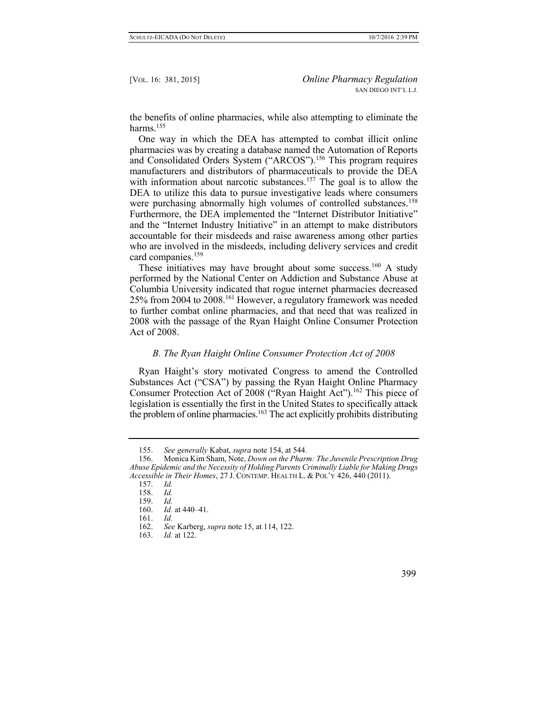the benefits of online pharmacies, while also attempting to eliminate the harms.<sup>155</sup>

One way in which the DEA has attempted to combat illicit online pharmacies was by creating a database named the Automation of Reports and Consolidated Orders System ("ARCOS").<sup>156</sup> This program requires manufacturers and distributors of pharmaceuticals to provide the DEA with information about narcotic substances.<sup>157</sup> The goal is to allow the DEA to utilize this data to pursue investigative leads where consumers were purchasing abnormally high volumes of controlled substances.<sup>158</sup> Furthermore, the DEA implemented the "Internet Distributor Initiative" and the "Internet Industry Initiative" in an attempt to make distributors accountable for their misdeeds and raise awareness among other parties who are involved in the misdeeds, including delivery services and credit card companies.<sup>159</sup>

These initiatives may have brought about some success.<sup>160</sup> A study performed by the National Center on Addiction and Substance Abuse at Columbia University indicated that rogue internet pharmacies decreased 25% from 2004 to 2008.<sup>161</sup> However, a regulatory framework was needed to further combat online pharmacies, and that need that was realized in 2008 with the passage of the Ryan Haight Online Consumer Protection Act of 2008.

## *B. The Ryan Haight Online Consumer Protection Act of 2008*

Ryan Haight's story motivated Congress to amend the Controlled Substances Act ("CSA") by passing the Ryan Haight Online Pharmacy Consumer Protection Act of 2008 ("Ryan Haight Act").<sup>162</sup> This piece of legislation is essentially the first in the United States to specifically attack the problem of online pharmacies.<sup>163</sup> The act explicitly prohibits distributing

<sup>155.</sup> *See generally* Kabat, *supra* note 154, at 544.

<sup>156.</sup> Monica Kim Sham, Note, *Down on the Pharm: The Juvenile Prescription Drug Abuse Epidemic and the Necessity of Holding Parents Criminally Liable for Making Drugs Accessible in Their Homes*, 27 J. CONTEMP. HEALTH L. & POL'Y 426, 440 (2011).

<sup>157.</sup> *Id.*

<sup>158.</sup> *Id.*

<sup>159.</sup> *Id.*

<sup>160.</sup> *Id.* at 440–41.

<sup>161.</sup> *Id.*

<sup>162.</sup> *See* Karberg, *supra* note 15, at 114, 122.

<sup>163.</sup> *Id.* at 122.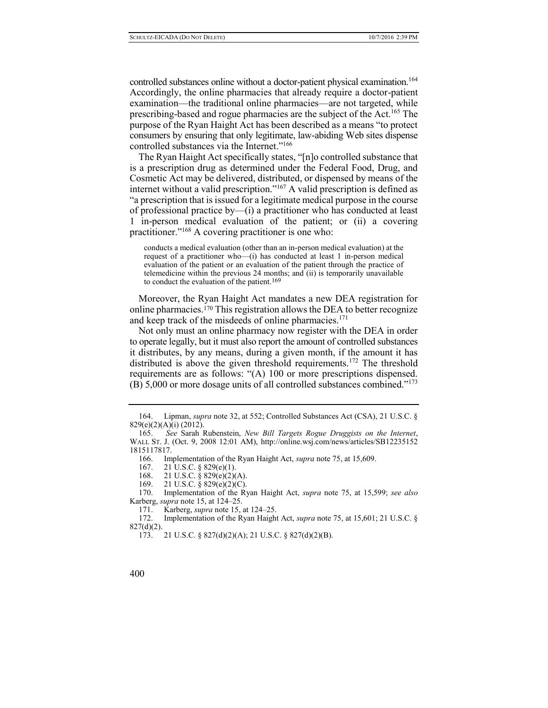controlled substances online without a doctor-patient physical examination.<sup>164</sup> Accordingly, the online pharmacies that already require a doctor-patient examination—the traditional online pharmacies—are not targeted, while prescribing-based and rogue pharmacies are the subject of the Act.<sup>165</sup> The purpose of the Ryan Haight Act has been described as a means "to protect consumers by ensuring that only legitimate, law-abiding Web sites dispense controlled substances via the Internet."<sup>166</sup>

The Ryan Haight Act specifically states, "[n]o controlled substance that is a prescription drug as determined under the Federal Food, Drug, and Cosmetic Act may be delivered, distributed, or dispensed by means of the internet without a valid prescription."<sup>167</sup> A valid prescription is defined as "a prescription that is issued for a legitimate medical purpose in the course of professional practice by—(i) a practitioner who has conducted at least 1 in-person medical evaluation of the patient; or (ii) a covering practitioner."<sup>168</sup> A covering practitioner is one who:

conducts a medical evaluation (other than an in-person medical evaluation) at the request of a practitioner who—(i) has conducted at least 1 in-person medical evaluation of the patient or an evaluation of the patient through the practice of telemedicine within the previous 24 months; and (ii) is temporarily unavailable to conduct the evaluation of the patient.169

Moreover, the Ryan Haight Act mandates a new DEA registration for online pharmacies.<sup>170</sup> This registration allows the DEA to better recognize and keep track of the misdeeds of online pharmacies.<sup>171</sup>

Not only must an online pharmacy now register with the DEA in order to operate legally, but it must also report the amount of controlled substances it distributes, by any means, during a given month, if the amount it has distributed is above the given threshold requirements.<sup>172</sup> The threshold requirements are as follows: "(A) 100 or more prescriptions dispensed. (B) 5,000 or more dosage units of all controlled substances combined."<sup>173</sup>

<sup>164.</sup> Lipman, *supra* note 32, at 552; Controlled Substances Act (CSA), 21 U.S.C. § 829(e)(2)(A)(i) (2012).

<sup>165.</sup> *See* Sarah Rubenstein, *New Bill Targets Rogue Druggists on the Internet*, WALL ST. J. (Oct. 9, 2008 12:01 AM), http://online.wsj.com/news/articles/SB12235152 1815117817.

<sup>166.</sup> Implementation of the Ryan Haight Act, *supra* note 75, at 15,609.

<sup>167.</sup> 21 U.S.C. § 829(e)(1).

<sup>168.</sup> [21 U.S.C. § 829\(e\)\(2\)\(A\).](https://1.next.westlaw.com/Link/Document/FullText?findType=L&pubNum=1000546&cite=21USCAS829&originationContext=document&transitionType=DocumentItem&contextData=(sc.Search)#co_pp_9e660000185f2)

<sup>169.</sup> 21 U.S.C. § 829(e)(2)(C).

<sup>170.</sup> Implementation of the Ryan Haight Act, *supra* note 75, at 15,599; *see also* Karberg, *supra* note 15, at 124–25.

<sup>171.</sup> Karberg, *supra* note 15, at 124–25.

<sup>172.</sup> Implementation of the Ryan Haight Act, *supra* note 75, at 15,601; 21 U.S.C. §  $827(d)(2)$ .

<sup>173.</sup> 21 U.S.C. § 827(d)(2)(A); 21 U.S.C. § 827(d)(2)(B).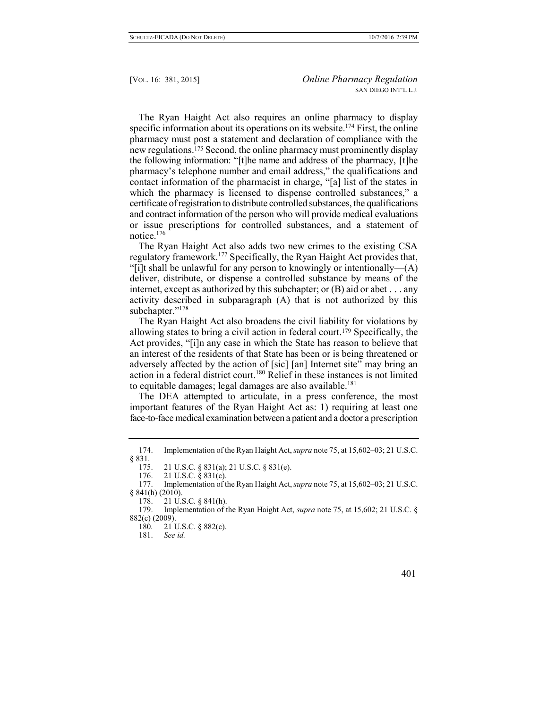The Ryan Haight Act also requires an online pharmacy to display specific information about its operations on its website.<sup>174</sup> First, the online pharmacy must post a statement and declaration of compliance with the new regulations.<sup>175</sup> Second, the online pharmacy must prominently display the following information: "[t]he name and address of the pharmacy, [t]he pharmacy's telephone number and email address," the qualifications and contact information of the pharmacist in charge, "[a] list of the states in which the pharmacy is licensed to dispense controlled substances," a certificate of registration to distribute controlled substances, the qualifications and contract information of the person who will provide medical evaluations or issue prescriptions for controlled substances, and a statement of notice.<sup>176</sup>

The Ryan Haight Act also adds two new crimes to the existing CSA regulatory framework.<sup>177</sup> Specifically, the Ryan Haight Act provides that, "[i]t shall be unlawful for any person to knowingly or intentionally— $(A)$ deliver, distribute, or dispense a controlled substance by means of the internet, except as authorized by this subchapter; or (B) aid or abet . . . any activity described in subparagraph (A) that is not authorized by this subchapter."<sup>178</sup>

The Ryan Haight Act also broadens the civil liability for violations by allowing states to bring a civil action in federal court.<sup>179</sup> Specifically, the Act provides, "[i]n any case in which the State has reason to believe that an interest of the residents of that State has been or is being threatened or adversely affected by the action of [sic] [an] Internet site" may bring an action in a federal district court.<sup>180</sup> Relief in these instances is not limited to equitable damages; legal damages are also available.<sup>181</sup>

The DEA attempted to articulate, in a press conference, the most important features of the Ryan Haight Act as: 1) requiring at least one face-to-face medical examination between a patient and a doctor a prescription

<sup>174.</sup> Implementation of the Ryan Haight Act, *supra* note 75, at 15,602–03; 21 U.S.C. § 831.

<sup>175.</sup> 21 U.S.C. § 831(a); 21 U.S.C. § 831(e).

<sup>176.</sup> 21 U.S.C. § 831(c).

<sup>177.</sup> Implementation of the Ryan Haight Act, *supra* note 75, at 15,602–03; 21 U.S.C.  $§ 841(h) (2010).$ 

<sup>178.</sup> 21 U.S.C. § 841(h).

<sup>179.</sup> Implementation of the Ryan Haight Act, *supra* note 75, at 15,602; 21 U.S.C. § 882(c) (2009).

<sup>180</sup>*.* 21 U.S.C. § 882(c).

<sup>181.</sup> *See id.*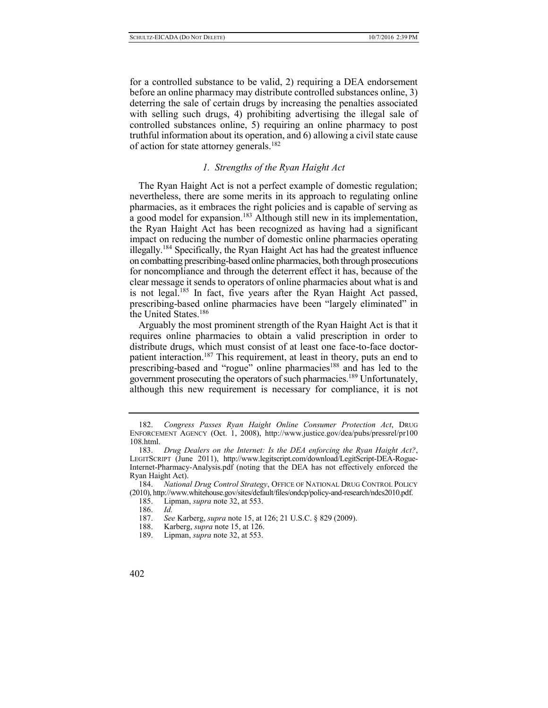for a controlled substance to be valid, 2) requiring a DEA endorsement before an online pharmacy may distribute controlled substances online, 3) deterring the sale of certain drugs by increasing the penalties associated with selling such drugs, 4) prohibiting advertising the illegal sale of controlled substances online, 5) requiring an online pharmacy to post truthful information about its operation, and 6) allowing a civil state cause of action for state attorney generals.<sup>182</sup>

# *1. Strengths of the Ryan Haight Act*

The Ryan Haight Act is not a perfect example of domestic regulation; nevertheless, there are some merits in its approach to regulating online pharmacies, as it embraces the right policies and is capable of serving as a good model for expansion.<sup>183</sup> Although still new in its implementation, the Ryan Haight Act has been recognized as having had a significant impact on reducing the number of domestic online pharmacies operating illegally.<sup>184</sup> Specifically, the Ryan Haight Act has had the greatest influence on combatting prescribing-based online pharmacies, both through prosecutions for noncompliance and through the deterrent effect it has, because of the clear message it sends to operators of online pharmacies about what is and is not legal.<sup>185</sup> In fact, five years after the Ryan Haight Act passed, prescribing-based online pharmacies have been "largely eliminated" in the United States.<sup>186</sup>

Arguably the most prominent strength of the Ryan Haight Act is that it requires online pharmacies to obtain a valid prescription in order to distribute drugs, which must consist of at least one face-to-face doctorpatient interaction.<sup>187</sup> This requirement, at least in theory, puts an end to prescribing-based and "rogue" online pharmacies<sup>188</sup> and has led to the government prosecuting the operators of such pharmacies.<sup>189</sup> Unfortunately, although this new requirement is necessary for compliance, it is not

<sup>182.</sup> *Congress Passes Ryan Haight Online Consumer Protection Act*, DRUG ENFORCEMENT AGENCY (Oct. 1, 2008), http://www.justice.gov/dea/pubs/pressrel/pr100 108.html.

<sup>183.</sup> *Drug Dealers on the Internet: Is the DEA enforcing the Ryan Haight Act?*, LEGITSCRIPT (June 2011), http://www.legitscript.com/download/LegitScript-DEA-Rogue-Internet-Pharmacy-Analysis.pdf (noting that the DEA has not effectively enforced the Ryan Haight Act).

<sup>184.</sup> *National Drug Control Strategy*, OFFICE OF NATIONAL DRUG CONTROL POLICY (2010), http://www.whitehouse.gov/sites/default/files/ondcp/policy-and-research/ndcs2010.pdf.

<sup>185.</sup> Lipman, *supra* note 32, at 553.

<sup>186.</sup> *Id.*

<sup>187.</sup> *See* Karberg, *supra* note 15, at 126; 21 U.S.C. § 829 (2009).

<sup>188.</sup> Karberg, *supra* note 15, at 126.

<sup>189.</sup> Lipman, *supra* note 32, at 553.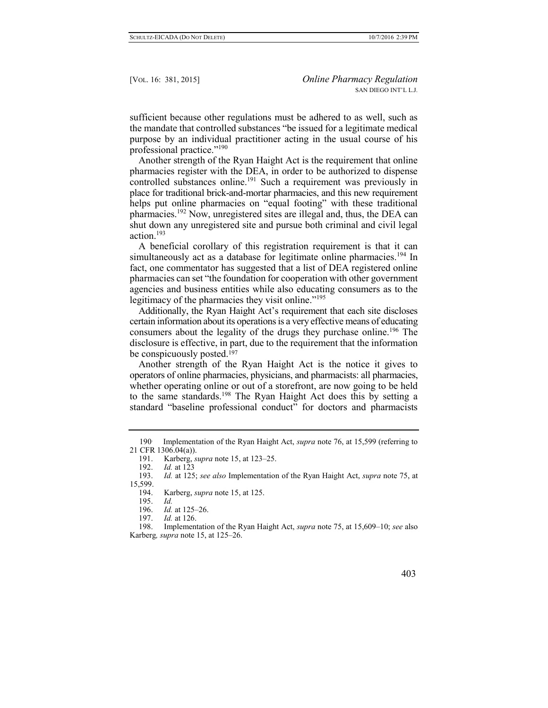sufficient because other regulations must be adhered to as well, such as the mandate that controlled substances "be issued for a legitimate medical purpose by an individual practitioner acting in the usual course of his professional practice."<sup>190</sup>

Another strength of the Ryan Haight Act is the requirement that online pharmacies register with the DEA, in order to be authorized to dispense controlled substances online.<sup>191</sup> Such a requirement was previously in place for traditional brick-and-mortar pharmacies, and this new requirement helps put online pharmacies on "equal footing" with these traditional pharmacies.<sup>192</sup> Now, unregistered sites are illegal and, thus, the DEA can shut down any unregistered site and pursue both criminal and civil legal action.<sup>193</sup>

A beneficial corollary of this registration requirement is that it can simultaneously act as a database for legitimate online pharmacies.<sup>194</sup> In fact, one commentator has suggested that a list of DEA registered online pharmacies can set "the foundation for cooperation with other government agencies and business entities while also educating consumers as to the legitimacy of the pharmacies they visit online."<sup>195</sup>

Additionally, the Ryan Haight Act's requirement that each site discloses certain information about its operations is a very effective means of educating consumers about the legality of the drugs they purchase online.<sup>196</sup> The disclosure is effective, in part, due to the requirement that the information be conspicuously posted.<sup>197</sup>

Another strength of the Ryan Haight Act is the notice it gives to operators of online pharmacies, physicians, and pharmacists: all pharmacies, whether operating online or out of a storefront, are now going to be held to the same standards.<sup>198</sup> The Ryan Haight Act does this by setting a standard "baseline professional conduct" for doctors and pharmacists

<sup>190</sup>. Implementation of the Ryan Haight Act, *supra* note 76, at 15,599 (referring to [21 CFR 1306.04\(a\)\)](https://1.next.westlaw.com/Link/Document/FullText?findType=L&pubNum=1000547&cite=21CFRS1306.04&originationContext=document&transitionType=DocumentItem&contextData=(sc.Search)#co_pp_8b3b0000958a4).

<sup>191.</sup> Karberg, *supra* note 15, at 123–25.<br>192. *Id.* at 123

*Id.* at 123

<sup>193.</sup> *Id.* at 125; *see also* Implementation of the Ryan Haight Act, *supra* note 75, at 15,599.<br>194.

Karberg, *supra* note 15, at 125.

<sup>195.</sup> *Id.*

<sup>196.</sup> *Id.* at 125–26.

<sup>197.</sup> *Id.* at 126.

<sup>198.</sup> Implementation of the Ryan Haight Act, *supra* note 75, at 15,609–10; *see* also Karberg*, supra* note 15, at 125–26.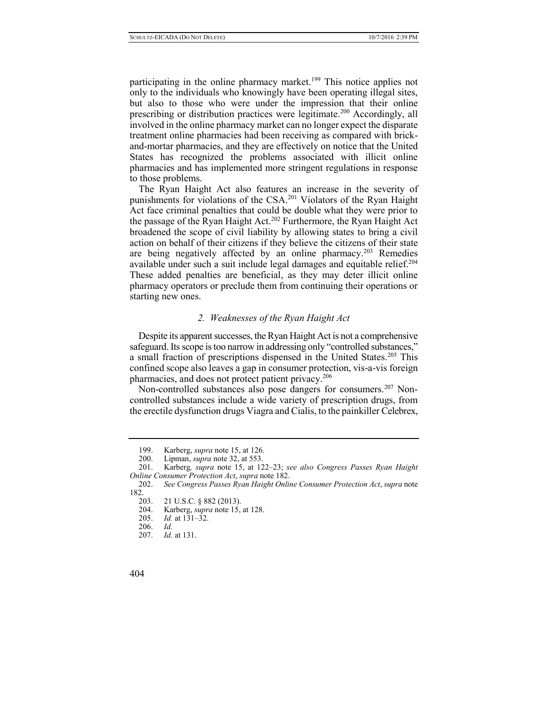participating in the online pharmacy market.<sup>199</sup> This notice applies not only to the individuals who knowingly have been operating illegal sites, but also to those who were under the impression that their online prescribing or distribution practices were legitimate.<sup>200</sup> Accordingly, all involved in the online pharmacy market can no longer expect the disparate treatment online pharmacies had been receiving as compared with brickand-mortar pharmacies, and they are effectively on notice that the United States has recognized the problems associated with illicit online pharmacies and has implemented more stringent regulations in response to those problems.

The Ryan Haight Act also features an increase in the severity of punishments for violations of the CSA.<sup>201</sup> Violators of the Ryan Haight Act face criminal penalties that could be double what they were prior to the passage of the Ryan Haight Act.<sup>202</sup> Furthermore, the Ryan Haight Act broadened the scope of civil liability by allowing states to bring a civil action on behalf of their citizens if they believe the citizens of their state are being negatively affected by an online pharmacy.<sup>203</sup> Remedies available under such a suit include legal damages and equitable relief.<sup>204</sup> These added penalties are beneficial, as they may deter illicit online pharmacy operators or preclude them from continuing their operations or starting new ones.

## *2. Weaknesses of the Ryan Haight Act*

Despite its apparent successes, the Ryan Haight Act is not a comprehensive safeguard. Its scope is too narrow in addressing only "controlled substances," a small fraction of prescriptions dispensed in the United States.<sup>205</sup> This confined scope also leaves a gap in consumer protection, vis-a-vis foreign pharmacies, and does not protect patient privacy.<sup>206</sup>

Non-controlled substances also pose dangers for consumers.<sup>207</sup> Noncontrolled substances include a wide variety of prescription drugs, from the erectile dysfunction drugs Viagra and Cialis, to the painkiller Celebrex,

<sup>199.</sup> Karberg, *supra* note 15, at 126.

<sup>200.</sup> Lipman, *supra* note 32, at 553.

<sup>201.</sup> Karberg*, supra* note 15, at 122–23; *see also Congress Passes Ryan Haight Online Consumer Protection Act*, *supra* note 182.

<sup>202.</sup> *See Congress Passes Ryan Haight Online Consumer Protection Act*, *supra* note 182.

<sup>203.</sup> 21 U.S.C. § 882 (2013).

<sup>204.</sup> Karberg, *supra* note 15, at 128.

<sup>205.</sup> *Id.* at 131–32.

<sup>206.</sup> *Id.*

<sup>207.</sup> *Id.* at 131.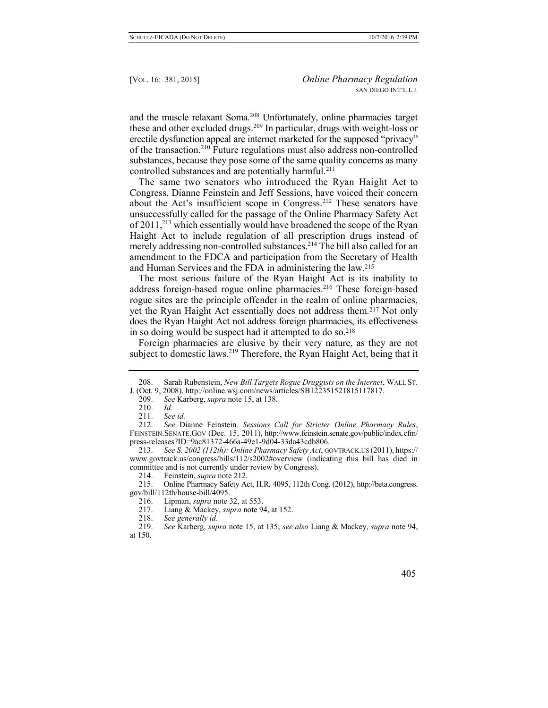and the muscle relaxant Soma.<sup>208</sup> Unfortunately, online pharmacies target these and other excluded drugs.<sup>209</sup> In particular, drugs with weight-loss or erectile dysfunction appeal are internet marketed for the supposed "privacy" of the transaction.<sup>210</sup> Future regulations must also address non-controlled substances, because they pose some of the same quality concerns as many controlled substances and are potentially harmful.<sup>211</sup>

The same two senators who introduced the Ryan Haight Act to Congress, Dianne Feinstein and Jeff Sessions, have voiced their concern about the Act's insufficient scope in Congress.<sup>212</sup> These senators have unsuccessfully called for the passage of the Online Pharmacy Safety Act of 2011,<sup>213</sup> which essentially would have broadened the scope of the Ryan Haight Act to include regulation of all prescription drugs instead of merely addressing non-controlled substances.<sup>214</sup> The bill also called for an amendment to the FDCA and participation from the Secretary of Health and Human Services and the FDA in administering the law.<sup>215</sup>

The most serious failure of the Ryan Haight Act is its inability to address foreign-based rogue online pharmacies.<sup>216</sup> These foreign-based rogue sites are the principle offender in the realm of online pharmacies, yet the Ryan Haight Act essentially does not address them.<sup>217</sup> Not only does the Ryan Haight Act not address foreign pharmacies, its effectiveness in so doing would be suspect had it attempted to do so.<sup>218</sup>

Foreign pharmacies are elusive by their very nature, as they are not subject to domestic laws.<sup>219</sup> Therefore, the Ryan Haight Act, being that it

214. Feinstein, *supra* note 212.

215. Online Pharmacy Safety Act, H.R. 4095, 112th Cong. (2012), http://beta.congress. gov/bill/112th/house-bill/4095.

- 216. Lipman, *supra* note 32, at 553.
- 217. Liang & Mackey, *supra* note 94, at 152.
- 218. *See generally id*.

<sup>208.</sup> Sarah Rubenstein, *New Bill Targets Rogue Druggists on the Internet*, WALL ST. J. (Oct. 9, 2008), http://online.wsj.com/news/articles/SB122351521815117817.

<sup>209.</sup> *See* Karberg, *supra* note 15, at 138.

<sup>210.</sup> *Id.*

See *id.* 

<sup>212.</sup> *See* Dianne Feinstein*, Sessions Call for Stricter Online Pharmacy Rules*, FEINSTEIN.SENATE.GOV (Dec. 15, 2011), http://www.feinstein.senate.gov/public/index.cfm/ press-releases?ID=9ac81372-466a-49e1-9d04-33da43cdb806.

<sup>213.</sup> *See S. 2002 (112th): Online Pharmacy Safety Act*, GOVTRACK.US (2011), https:// www.govtrack.us/congress/bills/112/s2002#overview (indicating this bill has died in committee and is not currently under review by Congress).

<sup>219.</sup> *See* Karberg, *supra* note 15, at 135; *see also* Liang & Mackey, *supra* note 94, at 150.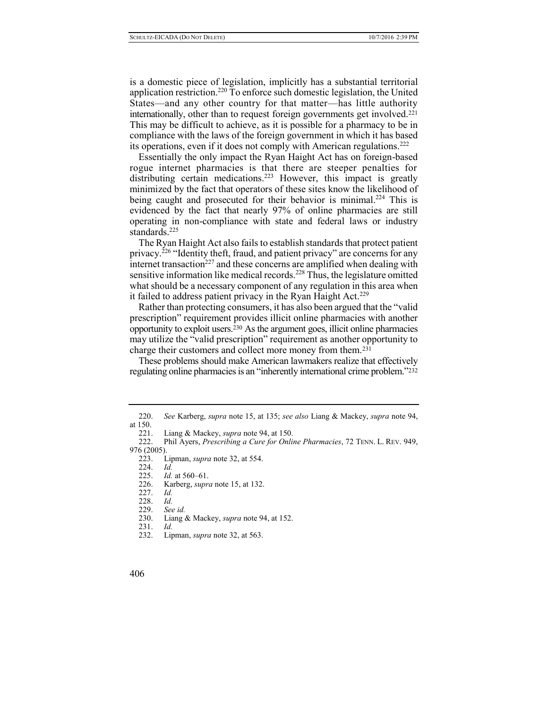is a domestic piece of legislation, implicitly has a substantial territorial application restriction.<sup>220</sup> To enforce such domestic legislation, the United States—and any other country for that matter—has little authority internationally, other than to request foreign governments get involved.<sup>221</sup> This may be difficult to achieve, as it is possible for a pharmacy to be in compliance with the laws of the foreign government in which it has based its operations, even if it does not comply with American regulations.<sup>222</sup>

Essentially the only impact the Ryan Haight Act has on foreign-based rogue internet pharmacies is that there are steeper penalties for distributing certain medications.<sup>223</sup> However, this impact is greatly minimized by the fact that operators of these sites know the likelihood of being caught and prosecuted for their behavior is minimal.<sup>224</sup> This is evidenced by the fact that nearly 97% of online pharmacies are still operating in non-compliance with state and federal laws or industry standards.<sup>225</sup>

The Ryan Haight Act also fails to establish standards that protect patient privacy.<sup>226</sup> "Identity theft, fraud, and patient privacy" are concerns for any internet transaction<sup>227</sup> and these concerns are amplified when dealing with sensitive information like medical records.<sup>228</sup> Thus, the legislature omitted what should be a necessary component of any regulation in this area when it failed to address patient privacy in the Ryan Haight  $Act.<sup>229</sup>$ 

Rather than protecting consumers, it has also been argued that the "valid prescription" requirement provides illicit online pharmacies with another opportunity to exploit users.<sup>230</sup> As the argument goes, illicit online pharmacies may utilize the "valid prescription" requirement as another opportunity to charge their customers and collect more money from them.<sup>231</sup>

These problems should make American lawmakers realize that effectively regulating online pharmacies is an "inherently international crime problem."<sup>232</sup>

- 227. *Id.*
- 228. *Id.*
- 229. *See id.*
- 230. Liang & Mackey, *supra* note 94, at 152.
- 231. *Id.*
- 232. Lipman, *supra* note 32, at 563.

<sup>220.</sup> *See* Karberg, *supra* note 15, at 135; *see also* Liang & Mackey, *supra* note 94, at  $\frac{150}{221}$ .

<sup>221.</sup> Liang & Mackey, *supra* note 94, at 150.

<sup>222.</sup> Phil Ayers, *Prescribing a Cure for Online Pharmacies*, 72 TENN. L. REV. 949, 976 (2005).<br>223. L

Lipman, *supra* note 32, at 554.<br>*Id.* 

<sup>224.</sup> *Id.*

<sup>225.</sup> *Id.* at 560–61.

<sup>226.</sup> Karberg, *supra* note 15, at 132.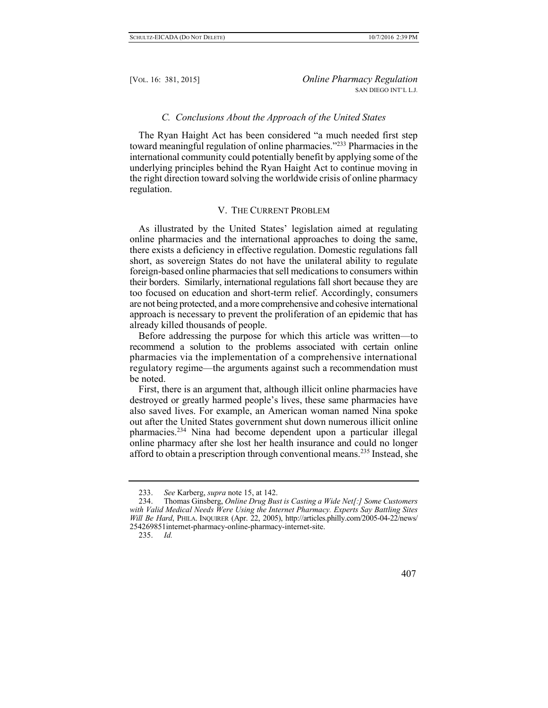## *C. Conclusions About the Approach of the United States*

The Ryan Haight Act has been considered "a much needed first step toward meaningful regulation of online pharmacies."<sup>233</sup> Pharmacies in the international community could potentially benefit by applying some of the underlying principles behind the Ryan Haight Act to continue moving in the right direction toward solving the worldwide crisis of online pharmacy regulation.

## V. THE CURRENT PROBLEM

As illustrated by the United States' legislation aimed at regulating online pharmacies and the international approaches to doing the same, there exists a deficiency in effective regulation. Domestic regulations fall short, as sovereign States do not have the unilateral ability to regulate foreign-based online pharmacies that sell medications to consumers within their borders. Similarly, international regulations fall short because they are too focused on education and short-term relief. Accordingly, consumers are not being protected, and a more comprehensive and cohesive international approach is necessary to prevent the proliferation of an epidemic that has already killed thousands of people.

Before addressing the purpose for which this article was written—to recommend a solution to the problems associated with certain online pharmacies via the implementation of a comprehensive international regulatory regime—the arguments against such a recommendation must be noted.

First, there is an argument that, although illicit online pharmacies have destroyed or greatly harmed people's lives, these same pharmacies have also saved lives. For example, an American woman named Nina spoke out after the United States government shut down numerous illicit online pharmacies.<sup>234</sup> Nina had become dependent upon a particular illegal online pharmacy after she lost her health insurance and could no longer afford to obtain a prescription through conventional means.<sup>235</sup> Instead, she

<sup>233.</sup> *See* Karberg, *supra* note 15, at 142.

<sup>234.</sup> Thomas Ginsberg, *Online Drug Bust is Casting a Wide Net[:] Some Customers with Valid Medical Needs Were Using the Internet Pharmacy. Experts Say Battling Sites Will Be Hard*, PHILA. INQUIRER (Apr. 22, 2005), http://articles.philly.com/2005-04-22/news/ 254269851internet-pharmacy-online-pharmacy-internet-site.

<sup>235.</sup> *Id.*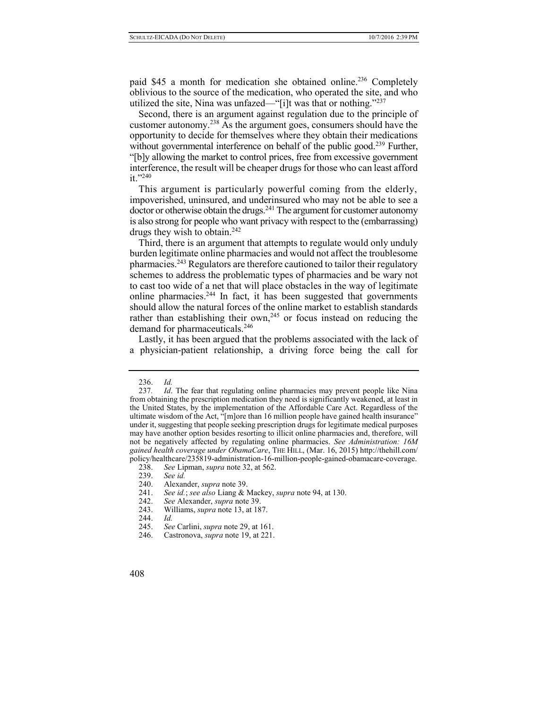paid \$45 a month for medication she obtained online.<sup>236</sup> Completely oblivious to the source of the medication, who operated the site, and who utilized the site, Nina was unfazed—"[i]t was that or nothing."<sup>237</sup>

Second, there is an argument against regulation due to the principle of customer autonomy.<sup>238</sup> As the argument goes, consumers should have the opportunity to decide for themselves where they obtain their medications without governmental interference on behalf of the public good.<sup>239</sup> Further, "[b]y allowing the market to control prices, free from excessive government interference, the result will be cheaper drugs for those who can least afford  $it$ .  $240$ 

This argument is particularly powerful coming from the elderly, impoverished, uninsured, and underinsured who may not be able to see a  $\frac{1}{2}$  doctor or otherwise obtain the drugs.<sup>241</sup> The argument for customer autonomy is also strong for people who want privacy with respect to the (embarrassing) drugs they wish to obtain.<sup>242</sup>

Third, there is an argument that attempts to regulate would only unduly burden legitimate online pharmacies and would not affect the troublesome pharmacies.<sup>243</sup> Regulators are therefore cautioned to tailor their regulatory schemes to address the problematic types of pharmacies and be wary not to cast too wide of a net that will place obstacles in the way of legitimate online pharmacies.<sup>244</sup> In fact, it has been suggested that governments should allow the natural forces of the online market to establish standards rather than establishing their own,<sup>245</sup> or focus instead on reducing the demand for pharmaceuticals.<sup>246</sup>

Lastly, it has been argued that the problems associated with the lack of a physician-patient relationship, a driving force being the call for

<sup>236.</sup> *Id.*

<sup>237</sup>*. Id*. The fear that regulating online pharmacies may prevent people like Nina from obtaining the prescription medication they need is significantly weakened, at least in the United States, by the implementation of the Affordable Care Act. Regardless of the ultimate wisdom of the Act, "[m]ore than 16 million people have gained health insurance" under it, suggesting that people seeking prescription drugs for legitimate medical purposes may have another option besides resorting to illicit online pharmacies and, therefore, will not be negatively affected by regulating online pharmacies. *See Administration: 16M gained health coverage under ObamaCare*, THE HILL, (Mar. 16, 2015) http://thehill.com/ policy/healthcare/235819-administration-16-million-people-gained-obamacare-coverage.

<sup>238.</sup> *See* Lipman, *supra* note 32, at 562.

<sup>239.</sup> *See id.*

<sup>240.</sup> Alexander, *supra* note 39.

<sup>241.</sup> *See id.*; *see also* Liang & Mackey, *supra* note 94, at 130.

<sup>242.</sup> *See* Alexander, *supra* note 39.

<sup>243.</sup> Williams, *supra* note 13, at 187.

<sup>244.</sup> *Id.*

<sup>245.</sup> *See* Carlini, *supra* note 29, at 161.

<sup>246.</sup> Castronova, *supra* note 19, at 221.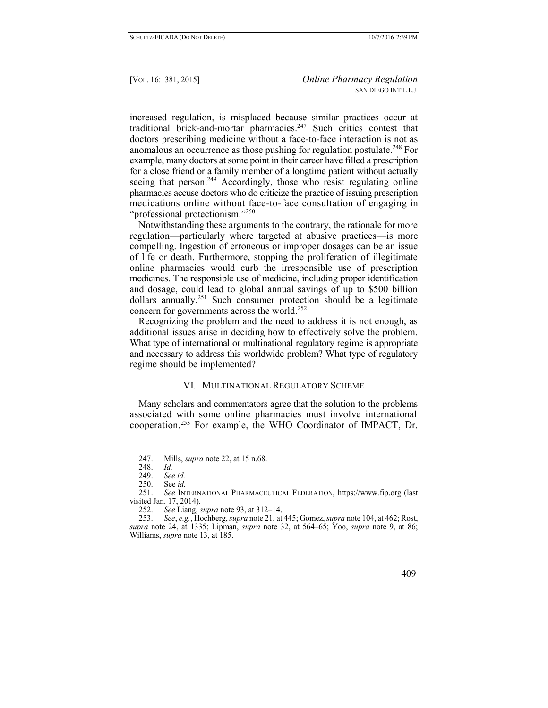increased regulation, is misplaced because similar practices occur at traditional brick-and-mortar pharmacies.<sup>247</sup> Such critics contest that doctors prescribing medicine without a face-to-face interaction is not as anomalous an occurrence as those pushing for regulation postulate.<sup>248</sup> For example, many doctors at some point in their career have filled a prescription for a close friend or a family member of a longtime patient without actually seeing that person.<sup>249</sup> Accordingly, those who resist regulating online pharmacies accuse doctors who do criticize the practice of issuing prescription medications online without face-to-face consultation of engaging in "professional protectionism."<sup>250</sup>

Notwithstanding these arguments to the contrary, the rationale for more regulation—particularly where targeted at abusive practices—is more compelling. Ingestion of erroneous or improper dosages can be an issue of life or death. Furthermore, stopping the proliferation of illegitimate online pharmacies would curb the irresponsible use of prescription medicines. The responsible use of medicine, including proper identification and dosage, could lead to global annual savings of up to \$500 billion dollars annually.<sup>251</sup> Such consumer protection should be a legitimate concern for governments across the world.<sup>252</sup>

Recognizing the problem and the need to address it is not enough, as additional issues arise in deciding how to effectively solve the problem. What type of international or multinational regulatory regime is appropriate and necessary to address this worldwide problem? What type of regulatory regime should be implemented?

## VI. MULTINATIONAL REGULATORY SCHEME

Many scholars and commentators agree that the solution to the problems associated with some online pharmacies must involve international cooperation.<sup>253</sup> For example, the WHO Coordinator of IMPACT, Dr.

<sup>247.</sup> Mills, *supra* note 22, at 15 n.68.

<sup>248.</sup> *Id.*

<sup>249.</sup> *See id.*

<sup>250.</sup> See *id.*

<sup>251.</sup> *See* INTERNATIONAL PHARMACEUTICAL FEDERATION, https://www.fip.org (last visited Jan. 17, 2014).

<sup>252.</sup> *See* Liang, *supra* note 93, at 312–14.

<sup>253.</sup> *See*, *e.g.*, Hochberg, *supra* note 21, at 445; Gomez, *supra* note 104, at 462; Rost, *supra* note 24, at 1335; Lipman, *supra* note 32, at 564–65; Yoo, *supra* note 9, at 86; Williams, *supra* note 13, at 185.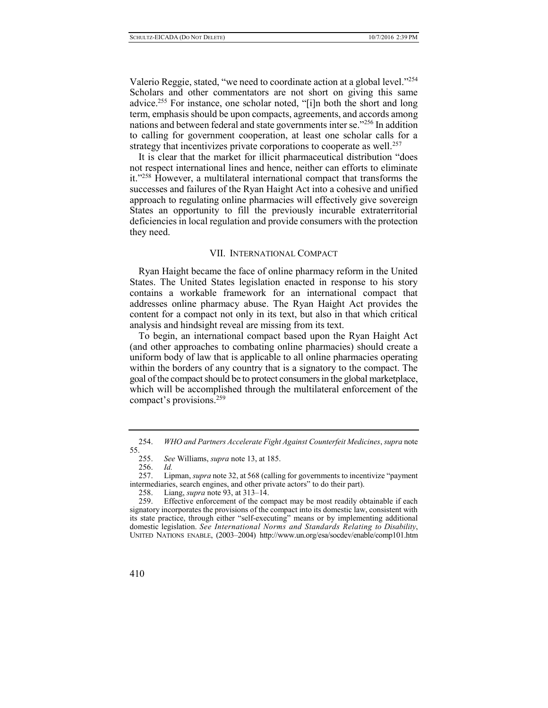Valerio Reggie, stated, "we need to coordinate action at a global level."<sup>254</sup> Scholars and other commentators are not short on giving this same advice.<sup>255</sup> For instance, one scholar noted, "[i]n both the short and long term, emphasis should be upon compacts, agreements, and accords among nations and between federal and state governments inter se."<sup>256</sup> In addition to calling for government cooperation, at least one scholar calls for a strategy that incentivizes private corporations to cooperate as well.<sup>257</sup>

It is clear that the market for illicit pharmaceutical distribution "does not respect international lines and hence, neither can efforts to eliminate it."<sup>258</sup> However, a multilateral international compact that transforms the successes and failures of the Ryan Haight Act into a cohesive and unified approach to regulating online pharmacies will effectively give sovereign States an opportunity to fill the previously incurable extraterritorial deficiencies in local regulation and provide consumers with the protection they need.

#### VII. INTERNATIONAL COMPACT

Ryan Haight became the face of online pharmacy reform in the United States. The United States legislation enacted in response to his story contains a workable framework for an international compact that addresses online pharmacy abuse. The Ryan Haight Act provides the content for a compact not only in its text, but also in that which critical analysis and hindsight reveal are missing from its text.

To begin, an international compact based upon the Ryan Haight Act (and other approaches to combating online pharmacies) should create a uniform body of law that is applicable to all online pharmacies operating within the borders of any country that is a signatory to the compact. The goal of the compact should be to protect consumers in the global marketplace, which will be accomplished through the multilateral enforcement of the compact's provisions.<sup>259</sup>

<sup>254.</sup> *WHO and Partners Accelerate Fight Against Counterfeit Medicines*, *supra* note  $55.$ <br>255.

<sup>255.</sup> *See* Williams, *supra* note 13, at 185.

<sup>256.</sup> *Id.*

<sup>257.</sup> Lipman, *supra* note 32, at 568 (calling for governments to incentivize "payment intermediaries, search engines, and other private actors" to do their part).<br>258. Liang. *supra* note 93. at 313–14.

Liang, *supra* note 93, at 313–14.

<sup>259.</sup> Effective enforcement of the compact may be most readily obtainable if each signatory incorporates the provisions of the compact into its domestic law, consistent with its state practice, through either "self-executing" means or by implementing additional domestic legislation. *See International Norms and Standards Relating to Disability*, UNITED NATIONS ENABLE, (2003–2004) http://www.un.org/esa/socdev/enable/comp101.htm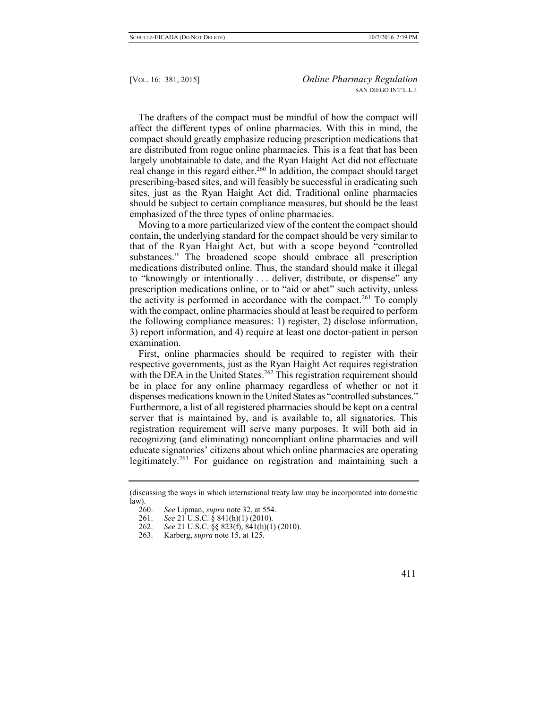The drafters of the compact must be mindful of how the compact will affect the different types of online pharmacies. With this in mind, the compact should greatly emphasize reducing prescription medications that are distributed from rogue online pharmacies. This is a feat that has been largely unobtainable to date, and the Ryan Haight Act did not effectuate real change in this regard either.<sup>260</sup> In addition, the compact should target prescribing-based sites, and will feasibly be successful in eradicating such sites, just as the Ryan Haight Act did. Traditional online pharmacies should be subject to certain compliance measures, but should be the least emphasized of the three types of online pharmacies.

Moving to a more particularized view of the content the compact should contain, the underlying standard for the compact should be very similar to that of the Ryan Haight Act, but with a scope beyond "controlled substances." The broadened scope should embrace all prescription medications distributed online. Thus, the standard should make it illegal to "knowingly or intentionally . . . deliver, distribute, or dispense" any prescription medications online, or to "aid or abet" such activity, unless the activity is performed in accordance with the compact.<sup>261</sup> To comply with the compact, online pharmacies should at least be required to perform the following compliance measures: 1) register, 2) disclose information, 3) report information, and 4) require at least one doctor-patient in person examination.

First, online pharmacies should be required to register with their respective governments, just as the Ryan Haight Act requires registration with the DEA in the United States.<sup>262</sup> This registration requirement should be in place for any online pharmacy regardless of whether or not it dispenses medications known in the United States as "controlled substances." Furthermore, a list of all registered pharmacies should be kept on a central server that is maintained by, and is available to, all signatories. This registration requirement will serve many purposes. It will both aid in recognizing (and eliminating) noncompliant online pharmacies and will educate signatories' citizens about which online pharmacies are operating legitimately.<sup>263</sup> For guidance on registration and maintaining such a

<sup>(</sup>discussing the ways in which international treaty law may be incorporated into domestic  $\frac{\text{law}}{260}$ .

See Lipman, *supra* note 32, at 554.

<sup>261.</sup> *See* 21 U.S.C. § 841(h)(1) (2010).

<sup>262.</sup> *See* 21 U.S.C. §§ 823(f), 841(h)(1) (2010).

<sup>263.</sup> Karberg, *supra* note 15, at 125.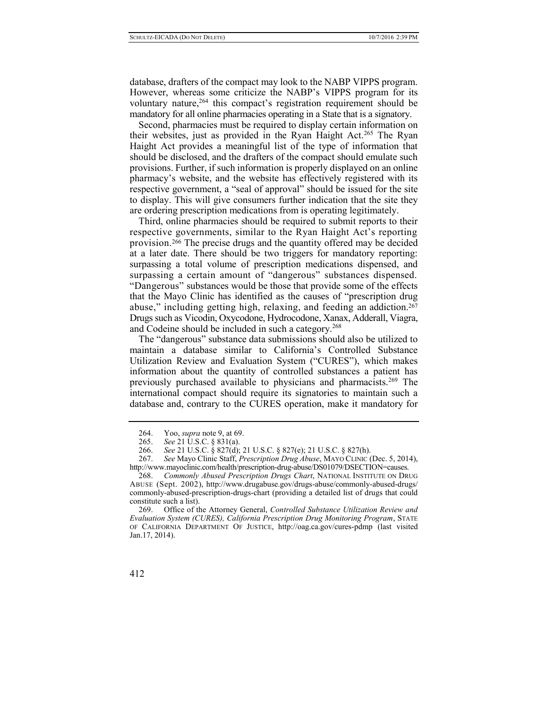database, drafters of the compact may look to the NABP VIPPS program. However, whereas some criticize the NABP's VIPPS program for its voluntary nature,<sup>264</sup> this compact's registration requirement should be mandatory for all online pharmacies operating in a State that is a signatory.

Second, pharmacies must be required to display certain information on their websites, just as provided in the Ryan Haight Act.<sup>265</sup> The Ryan Haight Act provides a meaningful list of the type of information that should be disclosed, and the drafters of the compact should emulate such provisions. Further, if such information is properly displayed on an online pharmacy's website, and the website has effectively registered with its respective government, a "seal of approval" should be issued for the site to display. This will give consumers further indication that the site they are ordering prescription medications from is operating legitimately.

Third, online pharmacies should be required to submit reports to their respective governments, similar to the Ryan Haight Act's reporting provision.<sup>266</sup> The precise drugs and the quantity offered may be decided at a later date. There should be two triggers for mandatory reporting: surpassing a total volume of prescription medications dispensed, and surpassing a certain amount of "dangerous" substances dispensed. "Dangerous" substances would be those that provide some of the effects that the Mayo Clinic has identified as the causes of "prescription drug abuse," including getting high, relaxing, and feeding an addiction.<sup>267</sup> Drugs such as Vicodin, Oxycodone, Hydrocodone, Xanax, Adderall, Viagra, and Codeine should be included in such a category.<sup>268</sup>

The "dangerous" substance data submissions should also be utilized to maintain a database similar to California's Controlled Substance Utilization Review and Evaluation System ("CURES"), which makes information about the quantity of controlled substances a patient has previously purchased available to physicians and pharmacists.<sup>269</sup> The international compact should require its signatories to maintain such a database and, contrary to the CURES operation, make it mandatory for

<sup>264.</sup> Yoo, *supra* note 9, at 69.

<sup>265.</sup> *See* 21 U.S.C. § 831(a).

<sup>266.</sup> *See* 21 U.S.C. § 827(d); 21 U.S.C. § 827(e); 21 U.S.C. § 827(h).

<sup>267.</sup> *See* Mayo Clinic Staff, *Prescription Drug Abuse*, MAYO CLINIC (Dec. 5, 2014), http://www.mayoclinic.com/health/prescription-drug-abuse/DS01079/DSECTION=causes.

<sup>268.</sup> *Commonly Abused Prescription Drugs Chart*, NATIONAL INSTITUTE ON DRUG ABUSE (Sept. 2002), http://www.drugabuse.gov/drugs-abuse/commonly-abused-drugs/ commonly-abused-prescription-drugs-chart (providing a detailed list of drugs that could constitute such a list).

<sup>269.</sup> Office of the Attorney General, *Controlled Substance Utilization Review and Evaluation System (CURES), California Prescription Drug Monitoring Program*, STATE OF CALIFORNIA DEPARTMENT OF JUSTICE, http://oag.ca.gov/cures-pdmp (last visited Jan.17, 2014).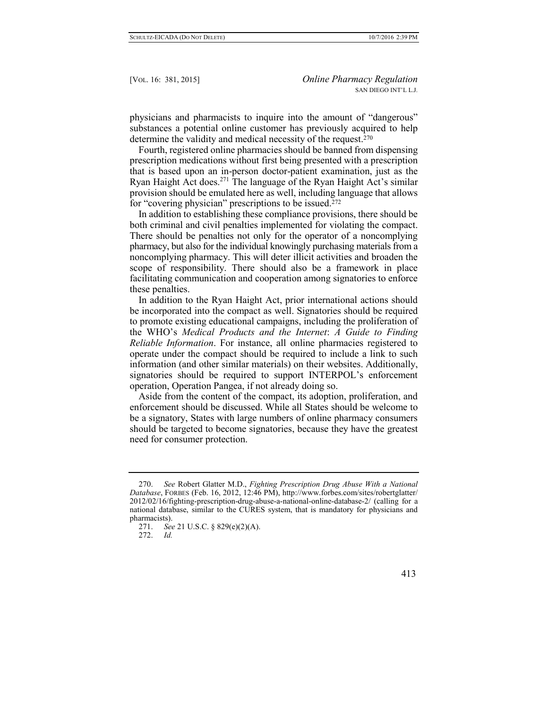physicians and pharmacists to inquire into the amount of "dangerous" substances a potential online customer has previously acquired to help determine the validity and medical necessity of the request.<sup>270</sup>

Fourth, registered online pharmacies should be banned from dispensing prescription medications without first being presented with a prescription that is based upon an in-person doctor-patient examination, just as the Ryan Haight Act does.<sup>271</sup> The language of the Ryan Haight Act's similar provision should be emulated here as well, including language that allows for "covering physician" prescriptions to be issued.<sup>272</sup>

In addition to establishing these compliance provisions, there should be both criminal and civil penalties implemented for violating the compact. There should be penalties not only for the operator of a noncomplying pharmacy, but also for the individual knowingly purchasing materials from a noncomplying pharmacy. This will deter illicit activities and broaden the scope of responsibility. There should also be a framework in place facilitating communication and cooperation among signatories to enforce these penalties.

In addition to the Ryan Haight Act, prior international actions should be incorporated into the compact as well. Signatories should be required to promote existing educational campaigns, including the proliferation of the WHO's *Medical Products and the Internet*: *A Guide to Finding Reliable Information*. For instance, all online pharmacies registered to operate under the compact should be required to include a link to such information (and other similar materials) on their websites. Additionally, signatories should be required to support INTERPOL's enforcement operation, Operation Pangea, if not already doing so.

Aside from the content of the compact, its adoption, proliferation, and enforcement should be discussed. While all States should be welcome to be a signatory, States with large numbers of online pharmacy consumers should be targeted to become signatories, because they have the greatest need for consumer protection.

<sup>270.</sup> *See* Robert Glatter M.D., *Fighting Prescription Drug Abuse With a National Database*, FORBES (Feb. 16, 2012, 12:46 PM), http://www.forbes.com/sites/robertglatter/ 2012/02/16/fighting-prescription-drug-abuse-a-national-online-database-2/ (calling for a national database, similar to the CURES system, that is mandatory for physicians and pharmacists).

<sup>271.</sup> *See* [21 U.S.C. § 829\(e\)\(2\)\(A\).](https://1.next.westlaw.com/Link/Document/FullText?findType=L&pubNum=1000546&cite=21USCAS829&originationContext=document&transitionType=DocumentItem&contextData=(sc.Search)#co_pp_9e660000185f2)

<sup>272.</sup> *Id.*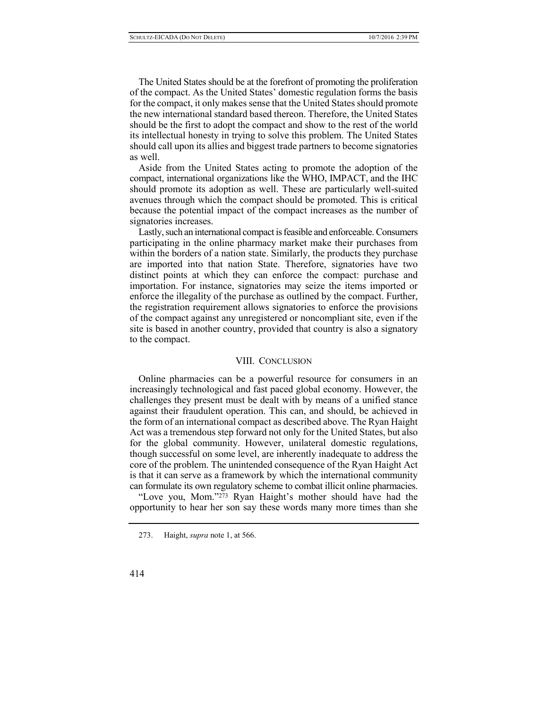The United States should be at the forefront of promoting the proliferation of the compact. As the United States' domestic regulation forms the basis for the compact, it only makes sense that the United States should promote the new international standard based thereon. Therefore, the United States should be the first to adopt the compact and show to the rest of the world its intellectual honesty in trying to solve this problem. The United States should call upon its allies and biggest trade partners to become signatories as well.

Aside from the United States acting to promote the adoption of the compact, international organizations like the WHO, IMPACT, and the IHC should promote its adoption as well. These are particularly well-suited avenues through which the compact should be promoted. This is critical because the potential impact of the compact increases as the number of signatories increases.

Lastly, such an international compact is feasible and enforceable. Consumers participating in the online pharmacy market make their purchases from within the borders of a nation state. Similarly, the products they purchase are imported into that nation State. Therefore, signatories have two distinct points at which they can enforce the compact: purchase and importation. For instance, signatories may seize the items imported or enforce the illegality of the purchase as outlined by the compact. Further, the registration requirement allows signatories to enforce the provisions of the compact against any unregistered or noncompliant site, even if the site is based in another country, provided that country is also a signatory to the compact.

## VIII. CONCLUSION

Online pharmacies can be a powerful resource for consumers in an increasingly technological and fast paced global economy. However, the challenges they present must be dealt with by means of a unified stance against their fraudulent operation. This can, and should, be achieved in the form of an international compact as described above. The Ryan Haight Act was a tremendous step forward not only for the United States, but also for the global community. However, unilateral domestic regulations, though successful on some level, are inherently inadequate to address the core of the problem. The unintended consequence of the Ryan Haight Act is that it can serve as a framework by which the international community can formulate its own regulatory scheme to combat illicit online pharmacies.

"Love you, Mom."<sup>273</sup> Ryan Haight's mother should have had the opportunity to hear her son say these words many more times than she

<sup>273.</sup> Haight, *supra* note 1, at 566.